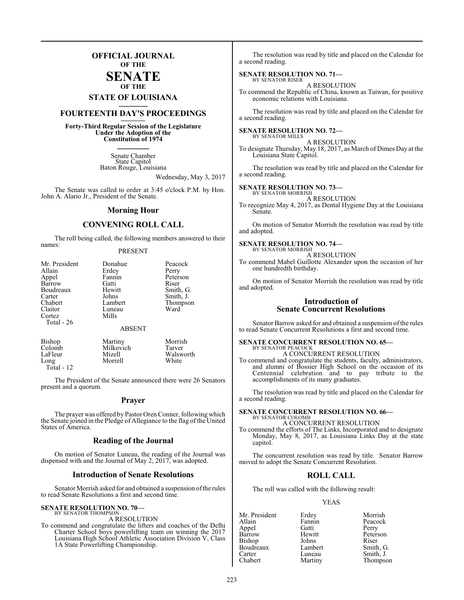### **OFFICIAL JOURNAL OF THE**

### **SENATE OF THE**

# **STATE OF LOUISIANA \_\_\_\_\_\_\_**

### **FOURTEENTH DAY'S PROCEEDINGS \_\_\_\_\_\_\_**

**Forty-Third Regular Session of the Legislature Under the Adoption of the Constitution of 1974 \_\_\_\_\_\_\_**

> Senate Chamber State Capitol Baton Rouge, Louisiana

> > Wednesday, May 3, 2017

The Senate was called to order at 3:45 o'clock P.M. by Hon. John A. Alario Jr., President of the Senate.

### **Morning Hour**

### **CONVENING ROLL CALL**

The roll being called, the following members answered to their names:

### PRESENT

| Mr. President | Donahue       | Peacock   |
|---------------|---------------|-----------|
| Allain        | Erdey         | Perry     |
| Appel         | Fannin        | Peterson  |
| Barrow        | Gatti         | Riser     |
| Boudreaux     | Hewitt        | Smith, G. |
| Carter        | Johns         | Smith, J. |
| Chabert       | Lambert       | Thompson  |
| Claitor       | Luneau        | Ward      |
| Cortez        | Mills         |           |
| Total - 26    |               |           |
|               | <b>ABSENT</b> |           |
| <b>Bishop</b> | Martiny       | Morrish   |
| Colomb        | Milkovich     | Tarver    |
| LaFleur       | Mizell        | Walsworth |
| Long          | Morrell       | White     |

Total - 12

The President of the Senate announced there were 26 Senators present and a quorum.

### **Prayer**

The prayer was offered by Pastor Oren Conner, following which the Senate joined in the Pledge of Allegiance to the flag of the United States of America.

### **Reading of the Journal**

On motion of Senator Luneau, the reading of the Journal was dispensed with and the Journal of May 2, 2017, was adopted.

### **Introduction of Senate Resolutions**

Senator Morrish asked for and obtained a suspension of the rules to read Senate Resolutions a first and second time.

#### **SENATE RESOLUTION NO. 70—** BY SENATOR THOMPSON

A RESOLUTION

To commend and congratulate the lifters and coaches of the Delhi Charter School boys powerlifting team on winning the 2017 Louisiana High School Athletic Association Division V, Class 1A State Powerlifting Championship.

The resolution was read by title and placed on the Calendar for a second reading.

#### **SENATE RESOLUTION NO. 71—** BY SENATOR RISER

A RESOLUTION

To commend the Republic of China, known as Taiwan, for positive economic relations with Louisiana.

The resolution was read by title and placed on the Calendar for a second reading.

### **SENATE RESOLUTION NO. 72—** BY SENATOR MILLS

A RESOLUTION

To designate Thursday, May 18, 2017, as March of Dimes Day at the Louisiana State Capitol.

The resolution was read by title and placed on the Calendar for a second reading.

### **SENATE RESOLUTION NO. 73—**

BY SENATOR MORRISH A RESOLUTION

To recognize May 4, 2017, as Dental Hygiene Day at the Louisiana Senate.

On motion of Senator Morrish the resolution was read by title and adopted.

#### **SENATE RESOLUTION NO. 74—** BY SENATOR MORRISH

A RESOLUTION

To commend Mabel Guillotte Alexander upon the occasion of her one hundredth birthday.

On motion of Senator Morrish the resolution was read by title and adopted.

### **Introduction of Senate Concurrent Resolutions**

Senator Barrow asked for and obtained a suspension of the rules to read Senate Concurrent Resolutions a first and second time.

### **SENATE CONCURRENT RESOLUTION NO. 65—** BY SENATOR PEACOCK A CONCURRENT RESOLUTION

To commend and congratulate the students, faculty, administrators, and alumni of Bossier High School on the occasion of its Centennial celebration and to pay tribute to the accomplishments of its many graduates.

The resolution was read by title and placed on the Calendar for a second reading.

**SENATE CONCURRENT RESOLUTION NO. 66—** BY SENATOR COLOMB

A CONCURRENT RESOLUTION

To commend the efforts of The Links, Incorporated and to designate Monday, May 8, 2017, as Louisiana Links Day at the state capitol.

The concurrent resolution was read by title. Senator Barrow moved to adopt the Senate Concurrent Resolution.

### **ROLL CALL**

The roll was called with the following result:

### YEAS

Appel Gatti<br>Barrow Hewitt Bishop Johns Riser<br>Boudreaux Lambert Smith, G. Boudreaux Lambert<br>Carter Luneau Carter Luneau Smith, J.<br>
Chabert Martiny Thompso

Mr. President Erdey Morrish<br>Allain Fannin Peacock Fannin Peacock<br>Gatti Perry Hewitt Peterson<br>Johns Riser Thompson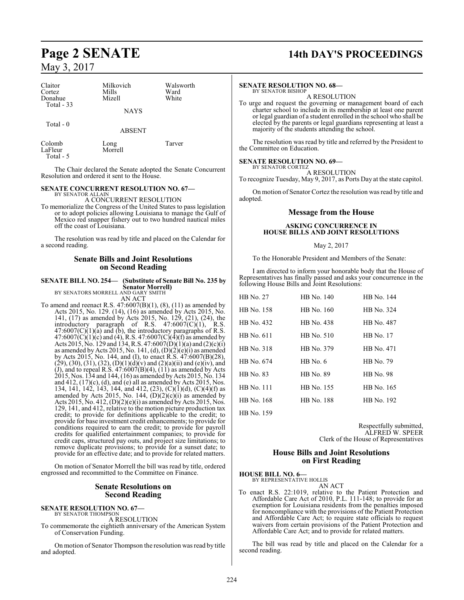| Claitor<br>Cortez<br>Donahue<br>Total $-33$ | Milkovich<br>Mills<br>Mizell<br><b>NAYS</b> | Walsworth<br>Ward<br>White |
|---------------------------------------------|---------------------------------------------|----------------------------|
| Total $-0$                                  | <b>ABSENT</b>                               |                            |
| Colomb<br>LaFleur                           | Long<br>Morrell                             | Tarver                     |

Total - 5

The Chair declared the Senate adopted the Senate Concurrent Resolution and ordered it sent to the House.

### **SENATE CONCURRENT RESOLUTION NO. 67—**

BY SENATOR ALLAIN A CONCURRENT RESOLUTION

To memorialize the Congress of the United States to pass legislation or to adopt policies allowing Louisiana to manage the Gulf of Mexico red snapper fishery out to two hundred nautical miles off the coast of Louisiana.

The resolution was read by title and placed on the Calendar for a second reading.

### **Senate Bills and Joint Resolutions on Second Reading**

### **SENATE BILL NO. 254— (Substitute of Senate Bill No. 235 by Senator Morrell)**

BY SENATORS MORRELL AND GARY SMITH AN ACT

To amend and reenact R.S.  $47:6007(B)(1)$ ,  $(8)$ ,  $(11)$  as amended by Acts 2015, No. 129. (14), (16) as amended by Acts 2015, No. 141, (17) as amended by Acts 2015, No. 129, (21), (24), the introductory paragraph of R.S. 47:6007(C)(1), R.S.  $47:6007(C)(1)(a)$  and (b), the introductory paragraphs of R.S.  $47:6007(C)(1)(c)$  and (4), R.S.  $47:6007(C)(4)(f)$  as amended by Acts 2015, No. 129 and 134, R.S. 47:6007(D)(1)(a) and (2)(c)(i) as amended by Acts 2015, No. 141, (d),  $(D)(2)(e)(i)$  as amended by Acts 2015, No. 144, and (I), to enact R.S. 47:6007(B)(28),  $(29)$ ,  $(30)$ ,  $(31)$ ,  $(32)$ ,  $(D)(1)(d)(v)$  and  $(2)(a)(ii)$  and  $(e)(iv)$ , and (J), and to repeal R.S.  $47:6007(B)(4)$ ,  $(11)$  as amended by Acts 2015, Nos. 134 and 144, (16) as amended by Acts 2015, No. 134 and  $412$ ,  $(17)$ (c), (d), and (e) all as amended by Acts 2015, Nos. 134, 141, 142, 143, 144, and 412, (23), (C)(1)(d), (C)(4)(f) as amended by Acts 2015, No. 144,  $(D)(2)(c)(i)$  as amended by Acts 2015, No. 412, (D)(2)(e)(i) as amended by Acts 2015, Nos. 129, 141, and 412, relative to the motion picture production tax credit; to provide for definitions applicable to the credit; to provide for base investment credit enhancements; to provide for conditions required to earn the credit; to provide for payroll credits for qualified entertainment companies; to provide for credit caps, structured pay outs, and project size limitations; to remove duplicate provisions; to provide for a sunset date; to provide for an effective date; and to provide for related matters.

On motion of Senator Morrell the bill was read by title, ordered engrossed and recommitted to the Committee on Finance.

### **Senate Resolutions on Second Reading**

### **SENATE RESOLUTION NO. 67—**<br>BY SENATOR THOMPSON

A RESOLUTION

To commemorate the eightieth anniversary of the American System of Conservation Funding.

On motion of Senator Thompson the resolution was read by title and adopted.

# **Page 2 SENATE 14th DAY'S PROCEEDINGS**

### **SENATE RESOLUTION NO. 68—**

BY SENATOR BISHOP A RESOLUTION

To urge and request the governing or management board of each charter school to include in its membership at least one parent or legal guardian of a student enrolled in the school who shall be elected by the parents or legal guardians representing at least a majority of the students attending the school.

The resolution was read by title and referred by the President to the Committee on Education.

### **SENATE RESOLUTION NO. 69—**

BY SENATOR CORTEZ A RESOLUTION

To recognize Tuesday, May 9, 2017, as Ports Day at the state capitol.

On motion of Senator Cortez the resolution was read by title and adopted.

### **Message from the House**

### **ASKING CONCURRENCE IN HOUSE BILLS AND JOINT RESOLUTIONS**

### May 2, 2017

To the Honorable President and Members of the Senate:

I am directed to inform your honorable body that the House of Representatives has finally passed and asks your concurrence in the following House Bills and Joint Resolutions:

| <b>HB</b> No. 27 | HB No. 140        | HB No. 144       |
|------------------|-------------------|------------------|
| HB No. 158       | HB No. 160        | HB No. 324       |
| HB No. 432       | HB No. 438        | HB No. 487       |
| HB No. 611       | HB No. 510        | <b>HB</b> No. 17 |
| HB No. 318       | HB No. 379        | HB No. 471       |
| HB No. 674       | HR No. 6          | HB No. 79        |
| <b>HB</b> No. 83 | HB No. 89         | <b>HB</b> No. 98 |
| HB No. 111       | HB No. 155        | HB No. 165       |
| HB No. 168       | <b>HB</b> No. 188 | HB No. 192       |

HB No. 159

Respectfully submitted, ALFRED W. SPEER Clerk of the House of Representatives

### **House Bills and Joint Resolutions on First Reading**

**HOUSE BILL NO. 6—** BY REPRESENTATIVE HOLLIS

AN ACT

To enact R.S. 22:1019, relative to the Patient Protection and Affordable Care Act of 2010, P.L. 111-148; to provide for an exemption for Louisiana residents from the penalties imposed for noncompliance with the provisions of the Patient Protection and Affordable Care Act; to require state officials to request waivers from certain provisions of the Patient Protection and Affordable Care Act; and to provide for related matters.

The bill was read by title and placed on the Calendar for a second reading.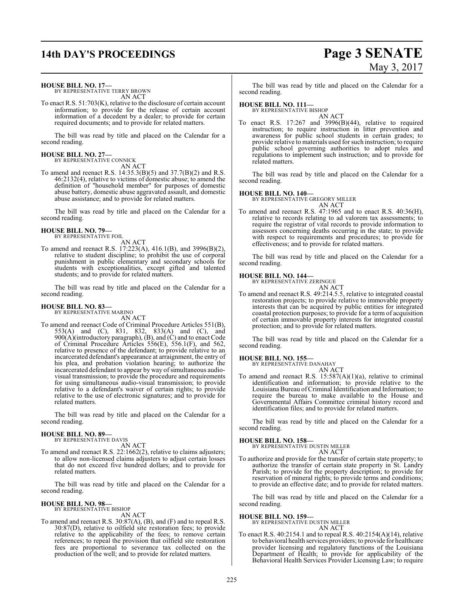# **14th DAY'S PROCEEDINGS Page 3 SENATE** May 3, 2017

**HOUSE BILL NO. 17—**

BY REPRESENTATIVE TERRY BROWN AN ACT

To enact R.S. 51:703(K), relative to the disclosure of certain account information; to provide for the release of certain account information of a decedent by a dealer; to provide for certain required documents; and to provide for related matters.

The bill was read by title and placed on the Calendar for a second reading.

### **HOUSE BILL NO. 27—** BY REPRESENTATIVE CONNICK

AN ACT

To amend and reenact R.S. 14:35.3(B)(5) and 37.7(B)(2) and R.S. 46:2132(4), relative to victims of domestic abuse; to amend the definition of "household member" for purposes of domestic abuse battery, domestic abuse aggravated assault, and domestic abuse assistance; and to provide for related matters.

The bill was read by title and placed on the Calendar for a second reading.

## **HOUSE BILL NO. 79—** BY REPRESENTATIVE FOIL

AN ACT

To amend and reenact R.S. 17:223(A), 416.1(B), and 3996(B)(2), relative to student discipline; to prohibit the use of corporal punishment in public elementary and secondary schools for students with exceptionalities, except gifted and talented students; and to provide for related matters.

The bill was read by title and placed on the Calendar for a second reading.

### **HOUSE BILL NO. 83—** BY REPRESENTATIVE MARINO

AN ACT

To amend and reenact Code of Criminal Procedure Articles 551(B), 553(A) and (C), 831, 832, 833(A) and (C), and 900(A)(introductory paragraph), (B), and (C) and to enact Code of Criminal Procedure Articles 556(E), 556.1(F), and 562, relative to presence of the defendant; to provide relative to an incarcerated defendant's appearance at arraignment, the entry of his plea, and probation violation hearing; to authorize the incarcerated defendant to appear by way of simultaneous audiovisual transmission; to provide the procedure and requirements for using simultaneous audio-visual transmission; to provide relative to a defendant's waiver of certain rights; to provide relative to the use of electronic signatures; and to provide for related matters.

The bill was read by title and placed on the Calendar for a second reading.

#### **HOUSE BILL NO. 89—** BY REPRESENTATIVE DAVIS

AN ACT

To amend and reenact R.S. 22:1662(2), relative to claims adjusters; to allow non-licensed claims adjusters to adjust certain losses that do not exceed five hundred dollars; and to provide for related matters.

The bill was read by title and placed on the Calendar for a second reading.

### **HOUSE BILL NO. 98—**

BY REPRESENTATIVE BISHOP AN ACT

To amend and reenact R.S. 30:87(A), (B), and (F) and to repeal R.S. 30:87(D), relative to oilfield site restoration fees; to provide relative to the applicability of the fees; to remove certain references; to repeal the provision that oilfield site restoration fees are proportional to severance tax collected on the production of the well; and to provide for related matters.

The bill was read by title and placed on the Calendar for a second reading.

### **HOUSE BILL NO. 111—**

BY REPRESENTATIVE BISHOP

AN ACT To enact R.S. 17:267 and 3996(B)(44), relative to required instruction; to require instruction in litter prevention and awareness for public school students in certain grades; to provide relative to materials used for such instruction; to require public school governing authorities to adopt rules and regulations to implement such instruction; and to provide for related matters.

The bill was read by title and placed on the Calendar for a second reading.

### **HOUSE BILL NO. 140—**

BY REPRESENTATIVE GREGORY MILLER

AN ACT To amend and reenact R.S. 47:1965 and to enact R.S. 40:36(H), relative to records relating to ad valorem tax assessments; to require the registrar of vital records to provide information to assessors concerning deaths occurring in the state; to provide with respect to requirements and procedures; to provide for effectiveness; and to provide for related matters.

The bill was read by title and placed on the Calendar for a second reading.

### **HOUSE BILL NO. 144—**

BY REPRESENTATIVE ZERINGUE

AN ACT To amend and reenact R.S. 49:214.5.5, relative to integrated coastal restoration projects; to provide relative to immovable property interests that can be acquired by public entities for integrated coastal protection purposes; to provide for a term of acquisition of certain immovable property interests for integrated coastal protection; and to provide for related matters.

The bill was read by title and placed on the Calendar for a second reading.

**HOUSE BILL NO. 155—** BY REPRESENTATIVE DANAHAY AN ACT

To amend and reenact R.S. 15:587(A)(1)(a), relative to criminal identification and information; to provide relative to the Louisiana Bureau ofCriminal Identification and Information; to require the bureau to make available to the House and Governmental Affairs Committee criminal history record and identification files; and to provide for related matters.

The bill was read by title and placed on the Calendar for a second reading.

**HOUSE BILL NO. 158—** BY REPRESENTATIVE DUSTIN MILLER

AN ACT

To authorize and provide for the transfer of certain state property; to authorize the transfer of certain state property in St. Landry Parish; to provide for the property description; to provide for reservation of mineral rights; to provide terms and conditions; to provide an effective date; and to provide for related matters.

The bill was read by title and placed on the Calendar for a second reading.

**HOUSE BILL NO. 159—** BY REPRESENTATIVE DUSTIN MILLER AN ACT

To enact R.S. 40:2154.1 and to repeal R.S. 40:2154(A)(14), relative to behavioral health services providers; to provide for healthcare provider licensing and regulatory functions of the Louisiana Department of Health; to provide for applicability of the Behavioral Health Services Provider Licensing Law; to require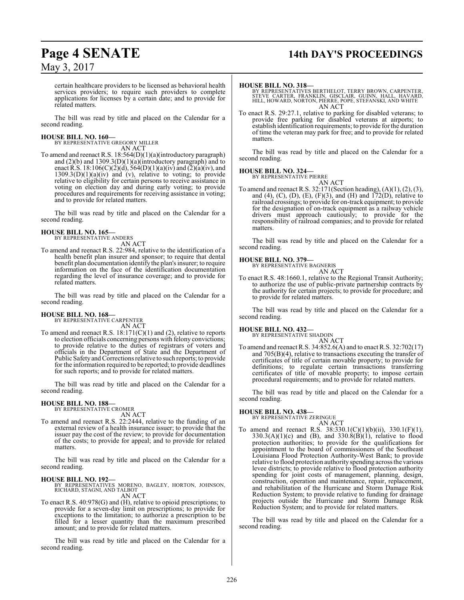# **Page 4 SENATE 14th DAY'S PROCEEDINGS**

certain healthcare providers to be licensed as behavioral health services providers; to require such providers to complete applications for licenses by a certain date; and to provide for related matters.

The bill was read by title and placed on the Calendar for a second reading.

# **HOUSE BILL NO. 160—** BY REPRESENTATIVE GREGORY MILLER

AN ACT

To amend and reenact R.S. 18:564(D)(1)(a)(introductory paragraph) and  $(2)(b)$  and  $1309.3(D)(1)(a)(introducing a\n *trivial* or *hital* and *hital*$ enact R.S. 18:106(C)(2)(d),  $564(D)(1)(a)(iv)$  and  $(2)(a)(iv)$ , and  $1309.3(D)(1)(a)(iv)$  and (v), relative to voting; to provide relative to eligibility for certain persons to receive assistance in voting on election day and during early voting; to provide procedures and requirements for receiving assistance in voting; and to provide for related matters.

The bill was read by title and placed on the Calendar for a second reading.

#### **HOUSE BILL NO. 165—** BY REPRESENTATIVE ANDERS

AN ACT

To amend and reenact R.S. 22:984, relative to the identification of a health benefit plan insurer and sponsor; to require that dental benefit plan documentation identify the plan's insurer; to require information on the face of the identification documentation regarding the level of insurance coverage; and to provide for related matters.

The bill was read by title and placed on the Calendar for a second reading.

**HOUSE BILL NO. 168—** BY REPRESENTATIVE CARPENTER AN ACT

To amend and reenact R.S. 18:171(C)(1) and (2), relative to reports to election officials concerning persons with felony convictions; to provide relative to the duties of registrars of voters and officials in the Department of State and the Department of Public Safety and Corrections relative to such reports; to provide for the information required to be reported; to provide deadlines for such reports; and to provide for related matters.

The bill was read by title and placed on the Calendar for a second reading.

# **HOUSE BILL NO. 188—** BY REPRESENTATIVE CROMER

AN ACT

To amend and reenact R.S. 22:2444, relative to the funding of an external review of a health insurance issuer; to provide that the issuer pay the cost of the review; to provide for documentation of the costs; to provide for appeal; and to provide for related matters.

The bill was read by title and placed on the Calendar for a second reading.

### **HOUSE BILL NO. 192—**

BY REPRESENTATIVES MORENO, BAGLEY, HORTON, JOHNSON, RICHARD, STAGNI, AND TALBOT AN ACT

To enact R.S. 40:978(G) and (H), relative to opioid prescriptions; to provide for a seven-day limit on prescriptions; to provide for exceptions to the limitation; to authorize a prescription to be filled for a lesser quantity than the maximum prescribed amount; and to provide for related matters.

The bill was read by title and placed on the Calendar for a second reading.

### **HOUSE BILL NO. 318—**

BY REPRESENTATIVES BERTHELOT, TERRY BROWN, CARPENTER,<br>STEVE CARTER, FRANKLIN, GISCLAIR, GUINN, HALL, HAVARD,<br>HILL, HOWARD, NORTON, PIERRE, POPE, STEFANSKI, AND WHITE AN ACT

To enact R.S. 29:27.1, relative to parking for disabled veterans; to provide free parking for disabled veterans at airports; to establish identification requirements; to provide for the duration of time the veteran may park for free; and to provide for related matters.

The bill was read by title and placed on the Calendar for a second reading.

## **HOUSE BILL NO. 324—** BY REPRESENTATIVE PIERRE

AN ACT

To amend and reenact R.S. 32:171(Section heading), (A)(1), (2), (3), and (4), (C), (D), (E), (F)(3), and (H) and  $172(D)$ , relative to railroad crossings; to provide for on-track equipment; to provide for the designation of on-track equipment as a railway vehicle drivers must approach cautiously; to provide for the responsibility of railroad companies; and to provide for related matters.

The bill was read by title and placed on the Calendar for a second reading.

### **HOUSE BILL NO. 379—**

BY REPRESENTATIVE BAGNERIS AN ACT

To enact R.S. 48:1660.1, relative to the Regional Transit Authority; to authorize the use of public-private partnership contracts by the authority for certain projects; to provide for procedure; and to provide for related matters.

The bill was read by title and placed on the Calendar for a second reading.

### **HOUSE BILL NO. 432—**

BY REPRESENTATIVE SHADOIN

AN ACT To amend and reenact R.S. 34:852.6(A) and to enact R.S. 32:702(17) and 705(B)(4), relative to transactions executing the transfer of certificates of title of certain movable property; to provide for definitions; to regulate certain transactions transferring certificates of title of movable property; to impose certain procedural requirements; and to provide for related matters.

The bill was read by title and placed on the Calendar for a second reading.

### **HOUSE BILL NO. 438—**

BY REPRESENTATIVE ZERINGUE AN ACT

To amend and reenact R.S.  $38:330.1(C)(1)(b)(ii)$ ,  $330.1(F)(1)$ ,  $330.3(A)(1)(c)$  and  $(B)$ , and  $330.8(B)(1)$ , relative to flood protection authorities; to provide for the qualifications for appointment to the board of commissioners of the Southeast Louisiana Flood Protection Authority-West Bank; to provide relative to flood protection authority spending across the various levee districts; to provide relative to flood protection authority spending for joint costs of management, planning, design, construction, operation and maintenance, repair, replacement, and rehabilitation of the Hurricane and Storm Damage Risk Reduction System; to provide relative to funding for drainage projects outside the Hurricane and Storm Damage Risk Reduction System; and to provide for related matters.

The bill was read by title and placed on the Calendar for a second reading.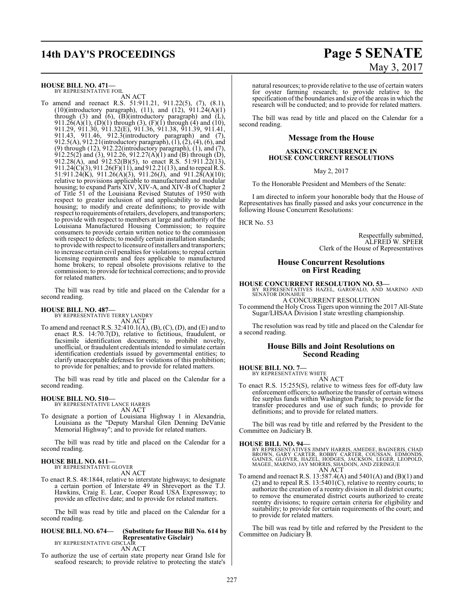# **14th DAY'S PROCEEDINGS Page 5 SENATE**

**HOUSE BILL NO. 471—** BY REPRESENTATIVE FOIL AN ACT

To amend and reenact R.S. 51:911.21, 911.22(5), (7), (8.1), (10)(introductory paragraph), (11), and (12),  $911.24(A)(1)$ through (3) and  $(6)$ ,  $(B)$ (introductory paragraph) and  $(L)$ , 911.26(A)(1), (D)(1) through (3), (F)(1) through (4) and (10), 911.29, 911.30, 911.32(E), 911.36, 911.38, 911.39, 911.41, 911.43, 911.46, 912.3(introductory paragraph) and (7), 912.5(A), 912.21(introductory paragraph), (1), (2), (4), (6), and (9) through (12), 912.22(introductory paragraph), (1), and (7),  $912.25(2)$  and  $(3)$ ,  $912.26$ ,  $912.27(A)(1)$  and  $(B)$  through  $(D)$ , 912.28(A), and 912.52(B)(5), to enact R.S. 51:911.22(13), 911.24(C)(3), 911.26(F)(11), and 912.21(13), and to repeal R.S. 51:911.24(K), 911.26(A)(3), 911.26(J), and 911.28(A)(10); relative to provisions applicable to manufactured and modular housing; to expand Parts XIV, XIV-A, and XIV-B of Chapter 2 of Title 51 of the Louisiana Revised Statutes of 1950 with respect to greater inclusion of and applicability to modular housing; to modify and create definitions; to provide with respect to requirements ofretailers, developers, and transporters; to provide with respect to members at large and authority of the Louisiana Manufactured Housing Commission; to require consumers to provide certain written notice to the commission with respect to defects; to modify certain installation standards; to provide with respect to licensure ofinstallers and transporters; to increase certain civil penalties for violations; to repeal certain licensing requirements and fees applicable to manufactured home brokers; to repeal obsolete provisions relative to the commission; to provide for technical corrections; and to provide for related matters.

The bill was read by title and placed on the Calendar for a second reading.

#### **HOUSE BILL NO. 487—** BY REPRESENTATIVE TERRY LANDRY

AN ACT

To amend and reenact R.S. 32:410.1(A), (B), (C), (D), and (E) and to enact R.S. 14:70.7(D), relative to fictitious, fraudulent, or facsimile identification documents; to prohibit novelty, unofficial, or fraudulent credentials intended to simulate certain identification credentials issued by governmental entities; to clarify unacceptable defenses for violations of this prohibition; to provide for penalties; and to provide for related matters.

The bill was read by title and placed on the Calendar for a second reading.

# **HOUSE BILL NO. 510—** BY REPRESENTATIVE LANCE HARRIS

AN ACT

To designate a portion of Louisiana Highway 1 in Alexandria, Louisiana as the "Deputy Marshal Glen Denning DeVanie Memorial Highway"; and to provide for related matters.

The bill was read by title and placed on the Calendar for a second reading.

#### **HOUSE BILL NO. 611—** BY REPRESENTATIVE GLOVER

AN ACT

To enact R.S. 48:1844, relative to interstate highways; to designate a certain portion of Interstate 49 in Shreveport as the T.J. Hawkins, Craig E. Lear, Cooper Road USA Expressway; to provide an effective date; and to provide for related matters.

The bill was read by title and placed on the Calendar for a second reading.

### **HOUSE BILL NO. 674— (Substitute for House Bill No. 614 by Representative Gisclair)**<br>BY REPRESENTATIVE GISCLAIR

AN ACT

To authorize the use of certain state property near Grand Isle for seafood research; to provide relative to protecting the state's

# May 3, 2017

natural resources; to provide relative to the use of certain waters for oyster farming research; to provide relative to the specification ofthe boundaries and size of the areas in which the research will be conducted; and to provide for related matters.

The bill was read by title and placed on the Calendar for a second reading.

### **Message from the House**

### **ASKING CONCURRENCE IN HOUSE CONCURRENT RESOLUTIONS**

May 2, 2017

To the Honorable President and Members of the Senate:

I am directed to inform your honorable body that the House of Representatives has finally passed and asks your concurrence in the following House Concurrent Resolutions:

HCR No. 53

Respectfully submitted, ALFRED W. SPEER Clerk of the House of Representatives

### **House Concurrent Resolutions on First Reading**

**HOUSE CONCURRENT RESOLUTION NO. 53—**<br>BY REPRESENTATIVES HAZEL, GAROFALO, AND MARINO AND<br>SENATOR DONAHUE A CONCURRENT RESOLUTION

To commend the Holy Cross Tigers upon winning the 2017 All-State Sugar/LHSAA Division I state wrestling championship.

The resolution was read by title and placed on the Calendar for a second reading.

### **House Bills and Joint Resolutions on Second Reading**

### **HOUSE BILL NO. 7—**

BY REPRESENTATIVE WHITE

AN ACT To enact R.S. 15:255(S), relative to witness fees for off-duty law enforcement officers; to authorize the transfer of certain witness fee surplus funds within Washington Parish; to provide for the transfer procedures and use of such funds; to provide for definitions; and to provide for related matters.

The bill was read by title and referred by the President to the Committee on Judiciary B.

### **HOUSE BILL NO. 94—**

BY REPRESENTATIVES JIMMY HARRIS, AMEDEE, BAGNERIS, CHAD<br>BROWN, GARY CARTER, ROBBY CARTER, COUSSAN, EDMONDS,<br>GAINES, GLOVER, HAZEL, HODGES, JACKSON, LEGER, LEOPOLD,<br>MAGEE, MARINO, JAY MORRIS, SHADOIN, AND ZERINGUE AN ACT

To amend and reenact R.S. 13:587.4(A) and 5401(A) and (B)(1) and (2) and to repeal R.S.  $13:5401(\tilde{C})$ , relative to reentry courts; to authorize the creation of a reentry division in all district courts; to remove the enumerated district courts authorized to create reentry divisions; to require certain criteria for eligibility and suitability; to provide for certain requirements of the court; and to provide for related matters.

The bill was read by title and referred by the President to the Committee on Judiciary B.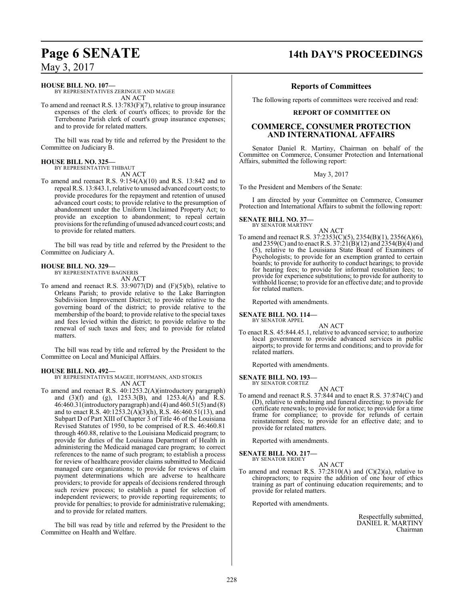### **Page 6 SENATE 14th DAY'S PROCEEDINGS**

**HOUSE BILL NO. 107—** BY REPRESENTATIVES ZERINGUE AND MAGEE AN ACT

To amend and reenact R.S. 13:783(F)(7), relative to group insurance expenses of the clerk of court's offices; to provide for the Terrebonne Parish clerk of court's group insurance expenses; and to provide for related matters.

The bill was read by title and referred by the President to the Committee on Judiciary B.

### **HOUSE BILL NO. 325—**

BY REPRESENTATIVE THIBAUT

AN ACT

To amend and reenact R.S. 9:154(A)(10) and R.S. 13:842 and to repeal R.S. 13:843.1, relative to unused advanced court costs; to provide procedures for the repayment and retention of unused advanced court costs; to provide relative to the presumption of abandonment under the Uniform Unclaimed Property Act; to provide an exception to abandonment; to repeal certain provisions for the refunding of unused advanced court costs; and to provide for related matters.

The bill was read by title and referred by the President to the Committee on Judiciary A.

### **HOUSE BILL NO. 329—**

BY REPRESENTATIVE BAGNERIS AN ACT

To amend and reenact R.S.  $33:9077(D)$  and  $(F)(5)(b)$ , relative to Orleans Parish; to provide relative to the Lake Barrington Subdivision Improvement District; to provide relative to the governing board of the district; to provide relative to the membership of the board; to provide relative to the special taxes and fees levied within the district; to provide relative to the renewal of such taxes and fees; and to provide for related matters.

The bill was read by title and referred by the President to the Committee on Local and Municipal Affairs.

### **HOUSE BILL NO. 492—**

BY REPRESENTATIVES MAGEE, HOFFMANN, AND STOKES AN ACT

To amend and reenact R.S. 40:1253.2(A)(introductory paragraph) and (3)(f) and (g), 1253.3(B), and 1253.4(A) and R.S. 46:460.31(introductory paragraph) and (4) and 460.51(5) and (8) and to enact R.S.  $40:1253.2(A)(3)(h)$ , R.S.  $46:460.51(13)$ , and Subpart D of Part XIII of Chapter 3 of Title 46 of the Louisiana Revised Statutes of 1950, to be comprised of R.S. 46:460.81 through 460.88, relative to the Louisiana Medicaid program; to provide for duties of the Louisiana Department of Health in administering the Medicaid managed care program; to correct references to the name of such program; to establish a process for review of healthcare provider claims submitted to Medicaid managed care organizations; to provide for reviews of claim payment determinations which are adverse to healthcare providers; to provide for appeals of decisions rendered through such review process; to establish a panel for selection of independent reviewers; to provide reporting requirements; to provide for penalties; to provide for administrative rulemaking; and to provide for related matters.

The bill was read by title and referred by the President to the Committee on Health and Welfare.

### **Reports of Committees**

The following reports of committees were received and read:

### **REPORT OF COMMITTEE ON**

### **COMMERCE, CONSUMER PROTECTION AND INTERNATIONAL AFFAIRS**

Senator Daniel R. Martiny, Chairman on behalf of the Committee on Commerce, Consumer Protection and International Affairs, submitted the following report:

### May 3, 2017

To the President and Members of the Senate:

I am directed by your Committee on Commerce, Consumer Protection and International Affairs to submit the following report:

### **SENATE BILL NO. 37—** BY SENATOR MARTINY

AN ACT To amend and reenact R.S. 37:2353(C)(5), 2354(B)(1), 2356(A)(6), and  $2359(C)$  and to enact R.S.  $37:21(B)(12)$  and  $2354(B)(4)$  and (5), relative to the Louisiana State Board of Examiners of Psychologists; to provide for an exemption granted to certain boards; to provide for authority to conduct hearings; to provide for hearing fees; to provide for informal resolution fees; to provide for experience substitutions; to provide for authority to withhold license; to provide for an effective date; and to provide for related matters.

Reported with amendments.

**SENATE BILL NO. 114—** BY SENATOR APPEL

AN ACT

To enact R.S. 45:844.45.1, relative to advanced service; to authorize local government to provide advanced services in public airports; to provide for terms and conditions; and to provide for related matters.

Reported with amendments.

**SENATE BILL NO. 193—** BY SENATOR CORTEZ

AN ACT

To amend and reenact R.S. 37:844 and to enact R.S. 37:874(C) and (D), relative to embalming and funeral directing; to provide for certificate renewals; to provide for notice; to provide for a time frame for compliance; to provide for refunds of certain reinstatement fees; to provide for an effective date; and to provide for related matters.

Reported with amendments.

### **SENATE BILL NO. 217—** BY SENATOR ERDEY

AN ACT

To amend and reenact R.S.  $37:2810(A)$  and  $(C)(2)(a)$ , relative to chiropractors; to require the addition of one hour of ethics training as part of continuing education requirements; and to provide for related matters.

Reported with amendments.

Respectfully submitted, DANIEL R. MARTINY Chairman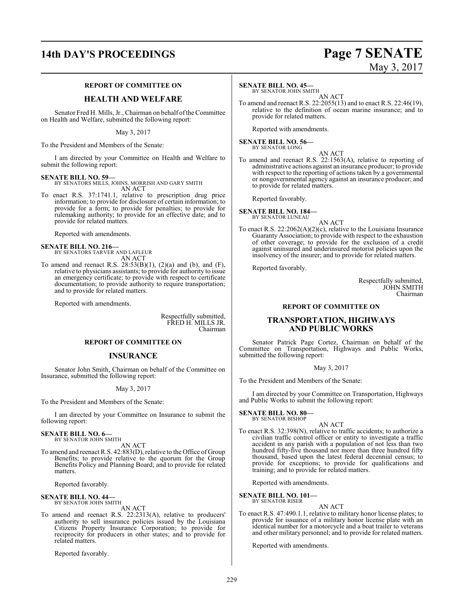# **14th DAY'S PROCEEDINGS Page 7 SENATE**

### **REPORT OF COMMITTEE ON**

### **HEALTH AND WELFARE**

Senator Fred H. Mills, Jr., Chairman on behalf of the Committee on Health and Welfare, submitted the following report:

May 3, 2017

To the President and Members of the Senate:

I am directed by your Committee on Health and Welfare to submit the following report:

### **SENATE BILL NO. 59—**

BY SENATORS MILLS, JOHNS, MORRISH AND GARY SMITH AN ACT

To enact R.S. 37:1741.1, relative to prescription drug price information; to provide for disclosure of certain information; to provide for a form; to provide for penalties; to provide for rulemaking authority; to provide for an effective date; and to provide for related matters.

Reported with amendments.

### **SENATE BILL NO. 216—** BY SENATORS TARVER AND LAFLEUR AN ACT

To amend and reenact R.S.  $28:53(B)(1)$ ,  $(2)(a)$  and  $(b)$ , and  $(F)$ , relative to physicians assistants; to provide for authority to issue an emergency certificate; to provide with respect to certificate documentation; to provide authority to require transportation; and to provide for related matters.

Reported with amendments.

Respectfully submitted, FRED H. MILLS JR. Chairman

### **REPORT OF COMMITTEE ON**

### **INSURANCE**

Senator John Smith, Chairman on behalf of the Committee on Insurance, submitted the following report:

May 3, 2017

To the President and Members of the Senate:

I am directed by your Committee on Insurance to submit the following report:

#### **SENATE BILL NO. 6—** BY SENATOR JOHN SMITH

AN ACT

To amend and reenact R.S. 42:883(D), relative to the Office of Group Benefits; to provide relative to the quorum for the Group Benefits Policy and Planning Board; and to provide for related matters.

Reported favorably.

**SENATE BILL NO. 44—** BY SENATOR JOHN SMITH

AN ACT

To amend and reenact R.S. 22:2313(A), relative to producers' authority to sell insurance policies issued by the Louisiana Citizens Property Insurance Corporation; to provide for reciprocity for producers in other states; and to provide for related matters.

Reported favorably.

### **SENATE BILL NO. 45—**

BY SENATOR JOHN SMITH AN ACT

To amend and reenact R.S. 22:2055(13) and to enact R.S. 22:46(19), relative to the definition of ocean marine insurance; and to provide for related matters.

Reported with amendments.

to provide for related matters.

**SENATE BILL NO. 56—** BY SENATOR LONG

AN ACT To amend and reenact R.S. 22:1563(A), relative to reporting of administrative actions against an insurance producer; to provide with respect to the reporting of actions taken by a governmental or nongovernmental agency against an insurance producer; and

Reported favorably.

**SENATE BILL NO. 184—** BY SENATOR LUNEAU

AN ACT

To enact R.S. 22:2062(A)(2)(c), relative to the Louisiana Insurance Guaranty Association; to provide with respect to the exhaustion of other coverage; to provide for the exclusion of a credit against uninsured and underinsured motorist policies upon the insolvency of the insurer; and to provide for related matters.

Reported favorably.

Respectfully submitted, JOHN SMITH Chairman

### **REPORT OF COMMITTEE ON**

### **TRANSPORTATION, HIGHWAYS AND PUBLIC WORKS**

Senator Patrick Page Cortez, Chairman on behalf of the Committee on Transportation, Highways and Public Works, submitted the following report:

May 3, 2017

To the President and Members of the Senate:

I am directed by your Committee on Transportation, Highways and Public Works to submit the following report:

**SENATE BILL NO. 80—** BY SENATOR BISHOP

AN ACT

To enact R.S. 32:398(N), relative to traffic accidents; to authorize a civilian traffic control officer or entity to investigate a traffic accident in any parish with a population of not less than two hundred fifty-five thousand nor more than three hundred fifty thousand, based upon the latest federal decennial census; to provide for exceptions; to provide for qualifications and training; and to provide for related matters.

Reported with amendments.

**SENATE BILL NO. 101—** BY SENATOR RISER

AN ACT

To enact R.S. 47:490.1.1, relative to military honor license plates; to provide for issuance of a military honor license plate with an identical number for a motorcycle and a boat trailer to veterans and other military personnel; and to provide for related matters.

Reported with amendments.

# May 3, 2017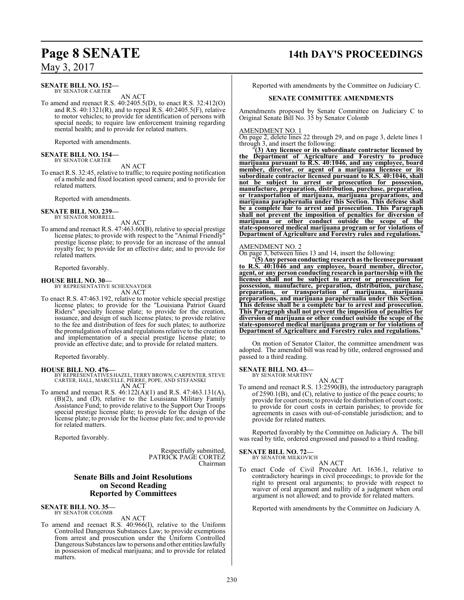### **SENATE BILL NO. 152—** BY SENATOR CARTER

AN ACT

To amend and reenact R.S. 40:2405.5(D), to enact R.S. 32:412(O) and R.S.  $40:1321(R)$ , and to repeal  $\hat{R}$ .S.  $40:2405.5(F)$ , relative to motor vehicles; to provide for identification of persons with special needs; to require law enforcement training regarding mental health; and to provide for related matters.

Reported with amendments.

# **SENATE BILL NO. 154—** BY SENATOR CARTER

AN ACT

To enact R.S. 32:45, relative to traffic; to require posting notification of a mobile and fixed location speed camera; and to provide for related matters.

Reported with amendments.

# **SENATE BILL NO. 239—** BY SENATOR MORRELL

AN ACT

To amend and reenact R.S. 47:463.60(B), relative to special prestige license plates; to provide with respect to the "Animal Friendly" prestige license plate; to provide for an increase of the annual royalty fee; to provide for an effective date; and to provide for related matters.

Reported favorably.

### **HOUSE BILL NO. 30—**

BY REPRESENTATIVE SCHEXNAYDER AN ACT

To enact R.S. 47:463.192, relative to motor vehicle special prestige license plates; to provide for the "Louisiana Patriot Guard Riders" specialty license plate; to provide for the creation, issuance, and design of such license plates; to provide relative to the fee and distribution of fees for such plates; to authorize the promulgation ofrules and regulations relative to the creation and implementation of a special prestige license plate; to provide an effective date; and to provide for related matters.

Reported favorably.

- **HOUSE BILL NO. 476—** BY REPRESENTATIVES HAZEL, TERRY BROWN, CARPENTER, STEVE CARTER, HALL, MARCELLE, PIERRE, POPE, AND STEFANSKI AN ACT
- To amend and reenact R.S. 46:122(A)(1) and R.S. 47:463.131(A), (B)(2), and (D), relative to the Louisiana Military Family Assistance Fund; to provide relative to the Support Our Troops special prestige license plate; to provide for the design of the license plate; to provide for the license plate fee; and to provide for related matters.

Reported favorably.

Respectfully submitted, PATRICK PAGE CORTEZ Chairman

### **Senate Bills and Joint Resolutions on Second Reading Reported by Committees**

**SENATE BILL NO. 35—** BY SENATOR COLOMB

AN ACT

To amend and reenact R.S. 40:966(I), relative to the Uniform Controlled Dangerous Substances Law; to provide exemptions from arrest and prosecution under the Uniform Controlled Dangerous Substances law to persons and other entities lawfully in possession of medical marijuana; and to provide for related matters.

## **Page 8 SENATE 14th DAY'S PROCEEDINGS**

Reported with amendments by the Committee on Judiciary C.

### **SENATE COMMITTEE AMENDMENTS**

Amendments proposed by Senate Committee on Judiciary C to Original Senate Bill No. 35 by Senator Colomb

### AMENDMENT NO. 1

On page 2, delete lines 22 through 29, and on page 3, delete lines 1 through 3, and insert the following:

"**(3) Any licensee or its subordinate contractor licensed by the Department of Agriculture and Forestry to produce marijuana pursuant to R.S. 40:1046, and any employee, board member, director, or agent of a marijuana licensee or its subordinate contractor licensed pursuant to R.S. 40:1046, shall not be subject to arrest or prosecution for possession, manufacture, preparation, distribution, purchase, preparation, or transportation of marijuana, marijuana preparations, and marijuana paraphernalia under this Section. This defense shall be a complete bar to arrest and prosecution. This Paragraph shall not prevent the imposition of penalties for diversion of marijuana or other conduct outside the scope of the state-sponsored medical marijuana program or for violations of Department of Agriculture and Forestry rules and regulations.**"

### AMENDMENT NO. 2

On page 3, between lines 13 and 14, insert the following:

"**(5) Any person conducting research as the licensee pursuant to R.S. 40:1046 and any employee, board member, director, agent, or any person conducting research in partnership with the licensee shall not be subject to arrest or prosecution for possession, manufacture, preparation, distribution, purchase, preparation, or transportation of marijuana, marijuana preparations, and marijuana paraphernalia under this Section. This defense shall be a complete bar to arrest and prosecution. This Paragraph shall not prevent the imposition of penalties for diversion of marijuana or other conduct outside the scope of the state-sponsored medical marijuana program or for violations of Department of Agriculture and Forestry rules and regulations.**"

On motion of Senator Claitor, the committee amendment was adopted. The amended bill was read by title, ordered engrossed and passed to a third reading.

#### **SENATE BILL NO. 43—** BY SENATOR MARTINY

AN ACT

To amend and reenact R.S. 13:2590(B), the introductory paragraph of 2590.1(B), and (C), relative to justice of the peace courts; to provide for court costs; to provide for distribution of court costs; to provide for court costs in certain parishes; to provide for agreements in cases with out-of-constable jurisdiction; and to provide for related matters.

Reported favorably by the Committee on Judiciary A. The bill was read by title, ordered engrossed and passed to a third reading.

**SENATE BILL NO. 72—**

BY SENATOR MILKOVICH AN ACT

To enact Code of Civil Procedure Art. 1636.1, relative to contradictory hearings in civil proceedings; to provide for the right to present oral arguments; to provide with respect to waiver of oral argument and nullity of a judgment when oral argument is not allowed; and to provide for related matters.

Reported with amendments by the Committee on Judiciary A.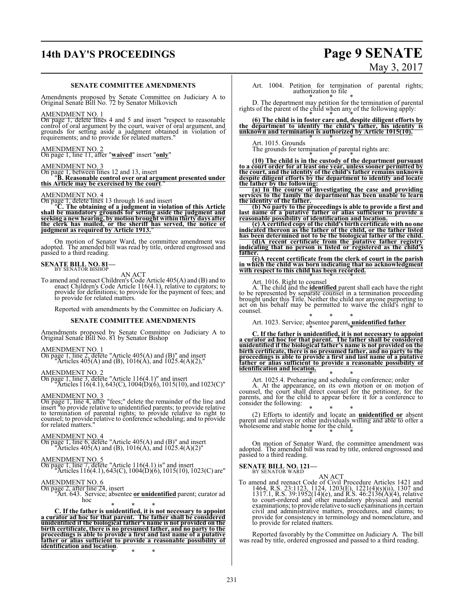# **14th DAY'S PROCEEDINGS Page 9 SENATE**

### **SENATE COMMITTEE AMENDMENTS**

Amendments proposed by Senate Committee on Judiciary A to Original Senate Bill No. 72 by Senator Milkovich

### AMENDMENT NO. 1

On page 1, delete lines 4 and 5 and insert "respect to reasonable<br>control of oral argument by the court, waiver of oral argument, and<br>grounds for setting aside a judgment obtained in violation of<br>requirements; and to provi

AMENDMENT NO. 2 On page 1, line 11, after "**waived**" insert "**only**"

### AMENDMENT NO. 3

On page 1, between lines 12 and 13, insert "**B. Reasonable control over oral argument presented under this Article may be exercised by the court**."

AMENDMENT NO. 4 On page 1, delete lines 13 through 16 and insert "**C. The obtaining of a judgment in violation of this Article** shall be mandatory grounds for setting aside the judgment and<br>seeking a new hearing, by motion brought within thirty days after<br>the clerk has mailed, or the sheriff has served, the notice of<br>judgment as required by Article

On motion of Senator Ward, the committee amendment was adopted. The amended bill was read by title, ordered engrossed and passed to a third reading.

# **SENATE BILL NO. 81-** BY SENATOR BISHOP

AN ACT<br>To amend and reenact Children's Code Article 405(A) and (B) and to enact Children's Code Article 116(4.1), relative to curators; to provide for definitions; to provide for the payment of fees; and to provide for related matters.

Reported with amendments by the Committee on Judiciary A.

### **SENATE COMMITTEE AMENDMENTS**

Amendments proposed by Senate Committee on Judiciary A to Original Senate Bill No. 81 by Senator Bishop

### AMENDMENT NO. 1

On page 1, line 2, delete "Article 405(A) and (B)" and insert "Articles 405(A) and (B), 1016(A), and 1025.4(A)(2),"

AMENDMENT NO. 2 On page 1, line 3, delete "Article 116(4.1)" and insert "Articles 116(4.1), 643(C), 1004(D)(6), 1015(10), and 1023(C)"

### AMENDMENT NO. 3

On page 1, line 4, after "fees;" delete the remainder of the line and<br>insert "to provide relative to unidentified parents; to provide relative<br>to termination of parental rights; to provide relative to right to<br>counsel; to for related matters."

AMENDMENT NO. 4 On page 1, line 6, delete "Article 405(A) and (B)" and insert "Articles 405(A) and (B), 1016(A), and 1025.4(A)(2)"

#### AMENDMENT NO. 5

On page 1, line 7, delete "Article 116(4.1) is" and insert "Articles 116(4.1), 643(C), 1004(D)(6), 1015(10), 1023(C) are"

AMENDMENT NO. 6 On page 2, after line 24, insert "Art. 643. Service; absentee **or unidentified** parent; curator ad hoc

\* \* \* **C. If the father is unidentified, it is not necessary to appoint a curator ad hoc for that parent. The father shall be considered unidentified if the biological father's name is not provided on the birth certificate, there is no presumed father, and no party to the proceedings is able to provide a first and last name of a putative father or alias sufficient to provide a reasonable possibility of identification and location**.

\* \* \*

# May 3, 2017

Art. 1004. Petition for termination of parental rights; authorization to file

\* \* \* D. The department may petition for the termination of parental rights of the parent of the child when any of the following apply:

\* \* \* **(6) The child is in foster care and, despite diligent efforts by the department to identify the child's father, his identity is unknown and termination is authorized by Article 1015(10).** \* \* \*

Art. 1015. Grounds

The grounds for termination of parental rights are:

\* \* \* **(10) The child is in the custody of the department pursuant to a court order for at least one year, unless sooner permitted by the court, and the identity of the child's father remains unknown despite diligent efforts by the department to identify and locate the father by the following:**

**(a) In the course of investigating the case and providing services to the family the department has been unable to learn the identity of the father.** 

(b) No party to the proceedings is able to provide a first and<br>last name of a putative father or alias sufficient to provide a<br>reasonable possibility of identification and location.<br>(c) A certified copy of the child's bir

**has been determined not to be the biological father of the child.** 

**(d)A recent certificate from the putative father registry indicating that no person is listed or registered as the child's father.**

(e)A recent certificate from the clerk of court in the parish<br>in which the child was born indicating that no acknowledgment<br>with respect to this child has been recorded.

Art. 1016. Right to counsel A. The child and the **identified** parent shall each have the right to be represented by separate counsel in a termination proceeding brought under this Title. Neither the child nor anyone purporting to act on his behalf may be permitted to waive the child's right to counsel.

\* \* \* Art. 1023. Service; absentee parent**, unidentified father**

\* \* \* **C. If the father is unidentified, it is not necessary to appoint a curator ad hoc for that parent. The father shall be considered unidentified if the biological father's name is not provided on the** birth certificate, there is no presumed father, and no party to the<br>proceedings is able to provide a first and last name of a putative<br>father or alias sufficient to provide a reasonable possibility of **identification and location.**

Art. 1025.4. Prehearing and scheduing conference; order<br>A. At the appearance, on its own motion or on motion of<br>counsel, the court shall direct counsel for the petitioner, for the<br>parents, and for the child to appear befor consider the following:

(2) Efforts to identify and locate an **unidentified or** absent parent and relatives or other individuals willing and able to offer a wholesome and stable home for the child.

On motion of Senator Ward, the committee amendment was adopted. The amended bill was read by title, ordered engrossed and passed to a third reading.

**SENATE BILL NO. 121-**<br>BY SENATOR WARD

AN ACT<br>
To amend and reenact Code of Civil Procedure Articles 1421 and<br>
1464, R.S. 23:1123, 1124, 1203(E), 1221(4)(s)(ii), 1307 and<br>
1317.1, R.S. 39:1952(14)(e), and R.S. 46:2136(A)(4), relative<br>
to court-ordered and other civil and administrative matters, procedures, and claims; to provide for consistency in terminology and nomenclature, and to provide for related matters.

Reported favorably by the Committee on Judiciary A. The bill was read by title, ordered engrossed and passed to a third reading.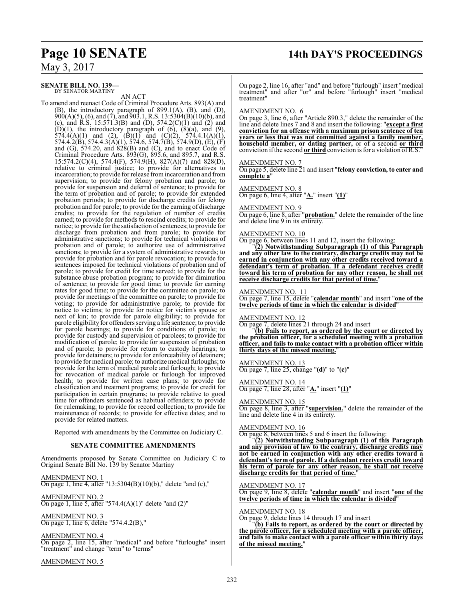## **Page 10 SENATE 14th DAY'S PROCEEDINGS**

May 3, 2017

**SENATE BILL NO. 139—** BY SENATOR MARTINY

AN ACT

To amend and reenact Code of Criminal Procedure Arts. 893(A) and (B), the introductory paragraph of 899.1(A), (B), and (D),  $900(A)(5)$ , (6), and (7), and  $903.1$ , R.S. 13:5304(B)(10)(b), and (c), and R.S. 15:571.3(B) and (D),  $574.2(C)(1)$  and (2) and  $(D)(1)$ , the introductory paragraph of  $(6)$ ,  $(8)(a)$ , and  $(9)$ , 574.4(A)(1) and (2),  $(\overline{B})(1)$  and  $(C)(2)$ , 574.4.1(A)(1), 574.4.2(B), 574.4.3(A)(1), 574.6, 574.7(B), 574.9(D), (E), (F) and (G), 574.20, and 828(B) and (C), and to enact Code of Criminal Procedure Arts. 893(G), 895.6, and 895.7, and R.S. 15:574.2(C)(4), 574.4(F), 574.9(H), 827(A)(7) and 828(D), relative to criminal justice; to provide for alternatives to incarceration; to provide for release fromincarceration and from supervision; to provide for felony probation and parole; to provide for suspension and deferral of sentence; to provide for the term of probation and of parole; to provide for extended probation periods; to provide for discharge credits for felony probation and for parole; to provide for the earning of discharge credits; to provide for the regulation of number of credits earned; to provide for methods to rescind credits; to provide for notice; to provide for the satisfaction of sentences; to provide for discharge from probation and from parole; to provide for administrative sanctions; to provide for technical violations of probation and of parole; to authorize use of administrative sanctions; to provide for a system of administrative rewards; to provide for probation and for parole revocation; to provide for sentences imposed for technical violations of probation and of parole; to provide for credit for time served; to provide for the substance abuse probation program; to provide for diminution of sentence; to provide for good time; to provide for earning rates for good time; to provide for the committee on parole; to provide for meetings of the committee on parole; to provide for voting; to provide for administrative parole; to provide for notice to victims; to provide for notice for victim's spouse or next of kin; to provide for parole eligibility; to provide for parole eligibility for offenders serving a life sentence; to provide for parole hearings; to provide for conditions of parole; to provide for custody and supervision of parolees; to provide for modification of parole; to provide for suspension of probation and of parole; to provide for return to custody hearings; to provide for detainers; to provide for enforceability of detainers; to provide for medical parole; to authorize medical furloughs; to provide for the term of medical parole and furlough; to provide for revocation of medical parole or furlough for improved health; to provide for written case plans; to provide for classification and treatment programs; to provide for credit for participation in certain programs; to provide relative to good time for offenders sentenced as habitual offenders; to provide for rulemaking; to provide for record collection; to provide for maintenance of records; to provide for effective dates; and to provide for related matters.

Reported with amendments by the Committee on Judiciary C.

### **SENATE COMMITTEE AMENDMENTS**

Amendments proposed by Senate Committee on Judiciary C to Original Senate Bill No. 139 by Senator Martiny

AMENDMENT NO. 1 On page 1, line 4, after "13:5304(B)(10)(b)," delete "and (c),"

AMENDMENT NO. 2 On page 1, line 5, after "574.4(A)(1)" delete "and  $(2)$ "

AMENDMENT NO. 3 On page 1, line 6, delete "574.4.2(B),"

AMENDMENT NO. 4

On page 2, line 15, after "medical" and before "furloughs" insert "treatment" and change "term" to "terms"

AMENDMENT NO. 5

On page 2, line 16, after "and" and before "furlough" insert "medical treatment" and after "or" and before "furlough" insert "medical treatment"

### AMENDMENT NO. 6

On page 3, line 6, after "Article 890.3," delete the remainder of the line and delete lines 7 and 8 and insert the following: "**except a first conviction for an offense with a maximum prison sentence of ten years or less that was not committed against a family member, household member, or dating partner,** or of a second **or third** conviction ifthe second **or third** conviction is for a violation ofR.S."

### AMENDMENT NO. 7

On page 5, delete line 21 and insert "**felony conviction, to enter and complete a**"

AMENDMENT NO. 8 On page 6, line 4, after "**A.**" insert "**(1)**"

### AMENDMENT NO. 9

On page 6, line 8, after "**probation.**" delete the remainder of the line and delete line 9 in its entirety.

### AMENDMENT NO. 10

On page 6, between lines 11 and 12, insert the following:

"**(2) Notwithstanding Subparagraph (1) of this Paragraph and any other law to the contrary, discharge credits may not be earned in conjunction with any other credits received toward a defendant's term of probation. If a defendant receives credit toward his term of probation for any other reason, he shall not receive discharge credits for that period of time.**"

### AMENDMENT NO. 11

On page 7, line 15, delete "**calendar month**" and insert "**one of the twelve periods of time in which the calendar is divided**"

### AMENDMENT NO. 12

On page 7, delete lines 21 through 24 and insert

"**(b) Fails to report, as ordered by the court or directed by the probation officer, for a scheduled meeting with a probation officer, and fails to make contact with a probation officer within thirty days of the missed meeting.**"

### AMENDMENT NO. 13

On page 7, line 25, change "**(d)**" to "**(c)**"

AMENDMENT NO. 14 On page 7, line 28, after "**A.**" insert "**(1)**"

### AMENDMENT NO. 15

On page 8, line 3, after "**supervision.**" delete the remainder of the line and delete line 4 in its entirety.

### AMENDMENT NO. 16

On page 8, between lines 5 and 6 insert the following:

"**(2) Notwithstanding Subparagraph (1) of this Paragraph and any provision of law to the contrary, discharge credits may not be earned in conjunction with any other credits toward a defendant's term of parole. If a defendant receives credit toward his term of parole for any other reason, he shall not receive discharge credits for that period of time.**"

AMENDMENT NO. 17

On page 9, line 8, delete "**calendar month**" and insert "**one of the twelve periods of time in which the calendar is divided**"

AMENDMENT NO. 18

On page 9, delete lines 14 through 17 and insert

"**(b) Fails to report, as ordered by the court or directed by the parole officer, for a scheduled meeting with a parole officer, and fails to make contact with a parole officer within thirty days of the missed meeting.**"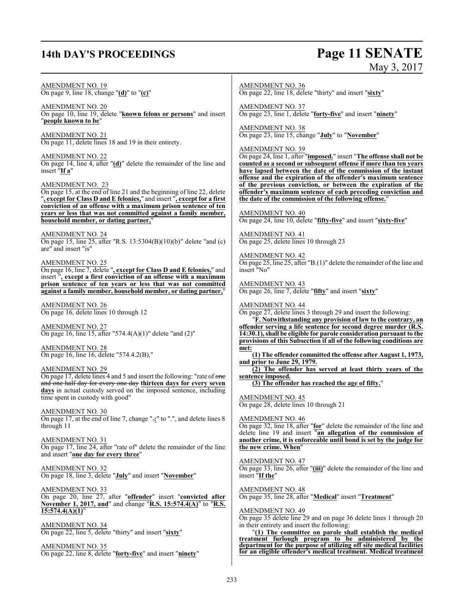## **14th DAY'S PROCEEDINGS Page 11 SENATE**

# May 3, 2017

AMENDMENT NO. 19 On page 9, line 18, change "**(d)**" to "**(c)**" AMENDMENT NO. 20 On page 10, line 19, delete "**known felons or persons**" and insert "**people known to be**" AMENDMENT NO. 21 On page 11, delete lines 18 and 19 in their entirety. AMENDMENT NO. 22 On page 14, line 4, after "**(d)**" delete the remainder of the line and insert "**If a**" AMENDMENT NO. 23 On page 15, at the end of line 21 and the beginning of line 22, delete "**, except for Class D and E felonies,**" and insert "**, except for a first conviction of an offense with a maximum prison sentence of ten years or less that was not committed against a family member, household member, or dating partner,**" AMENDMENT NO. 24 On page 15, line 25, after "R.S. 13:5304(B)(10)(b)" delete "and (c) are" and insert "is" AMENDMENT NO. 25 On page 16, line 7, delete "**, except for Class D and E felonies,**" and insert "**, except a first conviction of an offense with a maximum prison sentence of ten years or less that was not committed against a family member, household member, or dating partner,**" AMENDMENT NO. 26 On page 16, delete lines 10 through 12 AMENDMENT NO. 27 On page 16, line 15, after "574.4(A)(1)" delete "and (2)" AMENDMENT NO. 28 On page 16, line 16, delete "574.4.2(B)," AMENDMENT NO. 29 On page 17, delete lines 4 and 5 and insert the following: "rate of one and one half day for every one day **thirteen days for every seven days** in actual custody served on the imposed sentence, including time spent in custody with good" AMENDMENT NO. 30 On page 17, at the end of line 7, change ".**:**" to ".", and delete lines 8 through 11 AMENDMENT NO. 31 On page 17, line 24, after "rate of" delete the remainder of the line and insert "**one day for every three**" AMENDMENT NO. 32 On page 18, line 3, delete "**July**" and insert "**November**" AMENDMENT NO. 33 On page 20, line 27, after "**offender**" insert "**convicted after November 1, 2017, and**" and change "**R.S. 15:574.4(A)**" to "**R.S. 15:574.4(A)(1)**" AMENDMENT NO. 34 On page 22, line 5, delete "thirty" and insert "**sixty**" AMENDMENT NO. 35 On page 22, line 8, delete "**forty-five**" and insert "**ninety**" AMENDMENT NO. 36 On page 22, line 18, delete "thirty" and insert "**sixty**" AMENDMENT NO. 37 On page 23, line 1, delete "**forty-five**" and insert "**ninety**" AMENDMENT NO. 38 On page 23, line 15, change "**July**" to "**November**" AMENDMENT NO. 39 On page 24, line 1, after "**imposed.**" insert "**The offense shall not be counted as a second or subsequent offense if more than ten years have lapsed between the date of the commission of the instant offense and the expiration of the offender's maximum sentence of the previous conviction, or between the expiration of the offender's maximum sentence of each preceding conviction and the date of the commission of the following offense.**" AMENDMENT NO. 40 On page 24, line 10, delete "**fifty-five**" and insert "**sixty-five**" AMENDMENT NO. 41 On page 25, delete lines 10 through 23 AMENDMENT NO. 42 On page 25, line 25, after "B.(1)" delete the remainder of the line and insert "No" AMENDMENT NO. 43 On page 26, line 7, delete "**fifty**" and insert "**sixty**" AMENDMENT NO. 44 On page 27, delete lines 3 through 29 and insert the following: "**F. Notwithstanding any provision of law to the contrary, an offender serving a life sentence for second degree murder (R.S. 14:30.1), shall be eligible for parole consideration pursuant to the provisions of this Subsection if all of the following conditions are met: (1) The offender committed the offense after August 1, 1973, and prior to June 29, 1979. (2) The offender has served at least thirty years of the sentence imposed. (3) The offender has reached the age of fifty.**" AMENDMENT NO. 45 On page 28, delete lines 10 through 21 AMENDMENT NO. 46 On page 32, line 18, after "**for**" delete the remainder of the line and delete line 19 and insert "**an allegation of the commission of another crime, it is enforceable until bond is set by the judge for the new crime. When**" AMENDMENT NO. 47 On page 33, line 26, after "**(iii)**" delete the remainder of the line and insert "**If the**" AMENDMENT NO. 48 On page 35, line 28, after "**Medical**" insert "**Treatment**" AMENDMENT NO. 49 On page 35 delete line 29 and on page 36 delete lines 1 through 20 in their entirety and insert the following: "**(1) The committee on parole shall establish the medical treatment furlough program to be administered by the department for the purpose of utilizing off site medical facilities for an eligible offender's medical treatment. Medical treatment**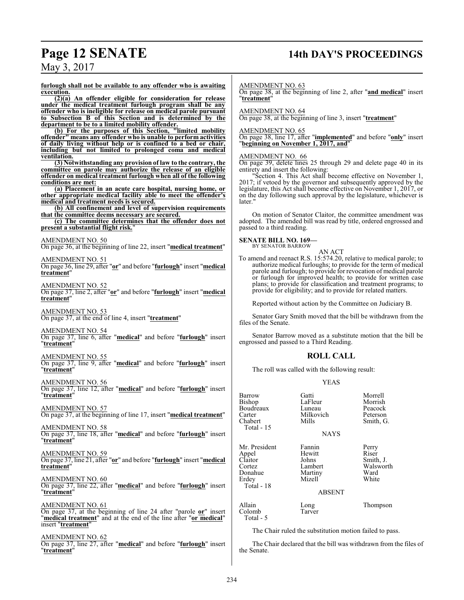# **Page 12 SENATE 14th DAY'S PROCEEDINGS**

May 3, 2017

**furlough shall not be available to any offender who is awaiting execution.**

**(2)(a) An offender eligible for consideration for release under the medical treatment furlough program shall be any offender who is ineligible for release on medical parole pursuant to Subsection B of this Section and is determined by the department to be to a limited mobility offender.**

**(b) For the purposes of this Section, "limited mobility offender" means any offender who is unable to perform activities of daily living without help or is confined to a bed or chair, including but not limited to prolonged coma and medical ventilation.**

**(3) Notwithstanding any provision of law to the contrary, the committee on parole may authorize the release of an eligible offender on medical treatment furlough when all of the following conditions are met:**

**(a) Placement in an acute care hospital, nursing home, or other appropriate medical facility able to meet the offender's medical and treatment needs is secured.**

**(b) All confinement and level of supervision requirements that the committee deems necessary are secured.**

**(c) The committee determines that the offender does not present a substantial flight risk.**"

AMENDMENT NO. 50

On page 36, at the beginning of line 22, insert "**medical treatment**"

AMENDMENT NO. 51

On page 36, line 29, after "**or**" and before "**furlough**" insert "**medical treatment**"

AMENDMENT NO. 52 On page 37, line 2, after "**or**" and before "**furlough**" insert "**medical treatment**"

AMENDMENT NO. 53 On page 37, at the end of line 4, insert "**treatment**"

AMENDMENT NO. 54

On page 37, line 6, after "**medical**" and before "**furlough**" insert "**treatment**"

AMENDMENT NO. 55 On page 37, line 9, after "**medical**" and before "**furlough**" insert "**treatment**"

AMENDMENT NO. 56 On page 37, line 12, after "**medical**" and before "**furlough**" insert "**treatment**"

AMENDMENT NO. 57 On page 37, at the beginning of line 17, insert "**medical treatment**"

AMENDMENT NO. 58 On page 37, line 18, after "**medical**" and before "**furlough**" insert "**treatment**"

AMENDMENT NO. 59 On page 37, line 21, after "**or**" and before "**furlough**" insert "**medical treatment**"

AMENDMENT NO. 60 On page 37, line 22, after "**medical**" and before "**furlough**" insert "**treatment**"

AMENDMENT NO. 61 On page 37, at the beginning of line 24 after "parole **or**" insert "**medical treatment**" and at the end of the line after "**or medical**" insert "**treatment**"

AMENDMENT NO. 62 On page 37, line 27, after "**medical**" and before "**furlough**" insert "**treatment**"

AMENDMENT NO. 63

On page 38, at the beginning of line 2, after "**and medical**" insert "**treatment**"

AMENDMENT NO. 64

On page 38, at the beginning of line 3, insert "**treatment**"

### AMENDMENT NO. 65

On page 38, line 17, after "**implemented**" and before "**only**" insert "**beginning on November 1, 2017, and**"

### AMENDMENT NO. 66

On page 39, delete lines 25 through 29 and delete page 40 in its entirety and insert the following:

"Section 4. This Act shall become effective on November 1, 2017; if vetoed by the governor and subsequently approved by the legislature, this Act shall become effective on November 1, 2017, or on the day following such approval by the legislature, whichever is later.'

On motion of Senator Claitor, the committee amendment was adopted. The amended bill was read by title, ordered engrossed and passed to a third reading.

**SENATE BILL NO. 169—** BY SENATOR BARROW

### AN ACT

To amend and reenact R.S. 15:574.20, relative to medical parole; to authorize medical furloughs; to provide for the term of medical parole and furlough; to provide for revocation of medical parole or furlough for improved health; to provide for written case plans; to provide for classification and treatment programs; to provide for eligibility; and to provide for related matters.

Reported without action by the Committee on Judiciary B.

Senator Gary Smith moved that the bill be withdrawn from the files of the Senate.

Senator Barrow moved as a substitute motion that the bill be engrossed and passed to a Third Reading.

### **ROLL CALL**

The roll was called with the following result:

### YEAS

| Barrow<br>Bishop<br>Boudreaux<br>Carter<br>Chabert<br>Total $-15$             | Gatti<br>LaFleur<br>Luneau<br>Milkovich<br>Mills<br><b>NAYS</b>            | Morrell<br>Morrish<br>Peacock<br>Peterson<br>Smith, G.    |
|-------------------------------------------------------------------------------|----------------------------------------------------------------------------|-----------------------------------------------------------|
| Mr. President<br>Appel<br>Claitor<br>Cortez<br>Donahue<br>Erdey<br>Total - 18 | Fannin<br>Hewitt<br>Johns<br>Lambert<br>Martiny<br>Mizell<br><b>ABSENT</b> | Perry<br>Riser<br>Smith, J.<br>Walsworth<br>Ward<br>White |
| Allain<br>Colomb<br>Total - 5                                                 | Long<br>Tarver                                                             | Thompson                                                  |

The Chair ruled the substitution motion failed to pass.

The Chair declared that the bill was withdrawn from the files of the Senate.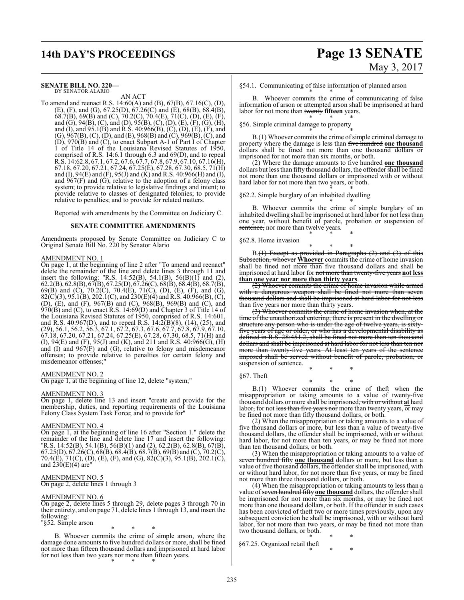# **14th DAY'S PROCEEDINGS Page 13 SENATE**

#### **SENATE BILL NO. 220—** BY SENATOR ALARIO

AN ACT

To amend and reenact R.S. 14:60(A) and (B), 67(B), 67.16(C), (D), (E), (F), and (G), 67.25(D), 67.26(C) and (E), 68(B), 68.4(B), 68.7(B), 69(B) and (C), 70.2(C), 70.4(E), 71(C), (D), (E), (F), and (G), 94(B), (C), and (D), 95(B), (C), (D), (E), (F), (G), (H), and (I), and 95.1(B) and R.S. 40:966(B), (C), (D), (E), (F), and (G), 967(B), (C), (D), and (E), 968(B) and (C), 969(B), (C), and (D), 970(B) and (C), to enact Subpart A-1 of Part I of Chapter 1 of Title 14 of the Louisiana Revised Statutes of 1950, comprised of R.S. 14:6.1 through 6.3 and 69(D), and to repeal R.S. 14:62.8, 67.1, 67.2, 67.6, 67.7, 67.8, 67.9, 67.10, 67.16(H), 67.18, 67.20, 67.21, 67.24, 67.25(E), 67.28, 67.30, 68.5, 71(H) and (I), 94(E) and (F), 95(J) and (K) and R.S. 40:966(H) and (I), and  $967(F)$  and (G), relative to the adoption of a felony class system; to provide relative to legislative findings and intent; to provide relative to classes of designated felonies; to provide relative to penalties; and to provide for related matters.

Reported with amendments by the Committee on Judiciary C.

### **SENATE COMMITTEE AMENDMENTS**

Amendments proposed by Senate Committee on Judiciary C to Original Senate Bill No. 220 by Senator Alario

### AMENDMENT NO. 1

On page 1, at the beginning of line 2 after "To amend and reenact" delete the remainder of the line and delete lines 3 through 11 and insert the following: "R.S. 14:52(B), 54.1(B), 56(B)(1) and (2), 62.2(B), 62.8(B), 67(B), 67.25(D), 67.26(C), 68(B), 68.4(B), 68.7(B), 69(B) and (C), 70.2(C), 70.4(E), 71(C), (D), (E), (F), and (G),  $82(C)(3)$ ,  $95.1(B)$ ,  $202.1(C)$ , and  $230(E)(4)$  and R.S.  $40:966(B)$ , (C), (D), (E), and (F), 967(B) and (C), 968(B), 969(B) and (C), and 970(B) and (C), to enact R.S. 14:69(D) and Chapter 3 of Title 14 of the Louisiana Revised Statutes of 1950, comprised of R.S. 14:601, and R.S. 40:967(D), and to repeal R.S. 14:2(B)(8), (14), (25), and (29), 56.1, 56.2, 56.3, 67.1, 67.2, 67.3, 67.6, 67.7, 67.8, 67.9, 67.10, 67.18, 67.20, 67.21, 67.24, 67.25(E), 67.28, 67.30, 68.5, 71(H) and (I), 94(E) and (F), 95(J) and (K), and 211 and R.S. 40:966(G), (H) and (I) and 967(F) and (G), relative to felony and misdemeanor offenses; to provide relative to penalties for certain felony and misdemeanor offenses;"

### AMENDMENT NO. 2

On page 1, at the beginning of line 12, delete "system;"

### AMENDMENT NO. 3

On page 1, delete line 13 and insert "create and provide for the membership, duties, and reporting requirements of the Louisiana Felony Class System Task Force; and to provide for"

### AMENDMENT NO. 4

On page 1, at the beginning of line 16 after "Section 1." delete the remainder of the line and delete line 17 and insert the following: "R.S. 14:52(B), 54.1(B), 56(B)(1) and (2), 62.2(B), 62.8(B), 67(B),  $67.25(D), 67.26(C), 68(B), 68.4(B), 68.7(B), 69(B)$  and  $(C), 70.2(C),$ 70.4(E), 71(C), (D), (E), (F), and (G), 82(C)(3), 95.1(B), 202.1(C), and  $230(E)(4)$  are"

### AMENDMENT NO. 5

On page 2, delete lines 1 through 3

### AMENDMENT NO. 6

On page 2, delete lines 5 through 29, delete pages 3 through 70 in their entirety, and on page 71, delete lines 1 through 13, and insert the following:

"§52. Simple arson

\* \* \*

B. Whoever commits the crime of simple arson, where the damage done amounts to five hundred dollars or more, shall be fined not more than fifteen thousand dollars and imprisoned at hard labor for not less than two years nor more than fifteen years. \* \* \*

### §54.1. Communicating of false information of planned arson

\* \* \* B. Whoever commits the crime of communicating of false information of arson or attempted arson shall be imprisoned at hard labor for not more than twenty fifteen years. \* \* \*

### §56. Simple criminal damage to property \* \* \*

B.(1) Whoever commits the crime of simple criminal damage to property where the damage is less than five hundred **one thousand** dollars shall be fined not more than one thousand dollars or imprisoned for not more than six months, or both.

(2) Where the damage amounts to five hundred **one thousand** dollars but less than fifty thousand dollars, the offender shall be fined not more than one thousand dollars or imprisoned with or without hard labor for not more than two years, or both.

\* \* \* §62.2. Simple burglary of an inhabited dwelling

\* \* \* B. Whoever commits the crime of simple burglary of an inhabited dwelling shall be imprisoned at hard labor for not less than one year, without benefit of parole, probation or suspension of sentence, nor more than twelve years. \* \* \*

#### §62.8. Home invasion

\* \* \* B.(1) Except as provided in Paragraphs (2) and (3) of this Subsection, whoever **Whoever** commits the crime of home invasion shall be fined not more than five thousand dollars and shall be imprisoned at hard labor for not more than twenty-five years **not less than one year nor more than thirty years**.

(2) Whoever commits the crime of home invasion while armed with a dangerous weapon shall be fined not more than seven thousand dollars and shall be imprisoned at hard labor for not less than five years nor more than thirty years.

(3) Whoever commits the crime of home invasion when, at the time of the unauthorized entering, there is present in the dwelling or structure any person who is under the age of twelve years, is sixtyfive years of age or older, or who has a developmental disability as defined in R.S. 28:451.2, shall be fined not more than ten thousand dollars and shall be imprisoned at hard labor for not less than ten nor more than twenty-five years. At least ten years of the sentence imposed shall be served without benefit of parole, probation, or suspension of sentence.

§67. Theft

\* \* \* B.(1) Whoever commits the crime of theft when the misappropriation or taking amounts to a value of twenty-five thousand dollars or more shall be imprisoned, with or without **at** hard labor, for not less than five years nor more than twenty years,  $\overline{or}$  may be fined not more than fifty thousand dollars, or both.

\* \* \*

(2) When the misappropriation or taking amounts to a value of five thousand dollars or more, but less than a value of twenty-five thousand dollars, the offender shall be imprisoned, with or without hard labor, for not more than ten years, or may be fined not more than ten thousand dollars, or both.

(3) When the misappropriation or taking amounts to a value of seven hundred fifty **one thousand** dollars or more, but less than a value of five thousand dollars, the offender shall be imprisoned, with or without hard labor, for not more than five years, or may be fined not more than three thousand dollars, or both.

(4) When the misappropriation or taking amounts to less than a value of seven hundred fifty one thousand dollars, the offender shall be imprisoned for not more than six months, or may be fined not more than one thousand dollars, or both. If the offender in such cases has been convicted of theft two or more times previously, upon any subsequent conviction he shall be imprisoned, with or without hard labor, for not more than two years, or may be fined not more than two thousand dollars, or both.

\* \* \* §67.25. Organized retail theft \* \* \*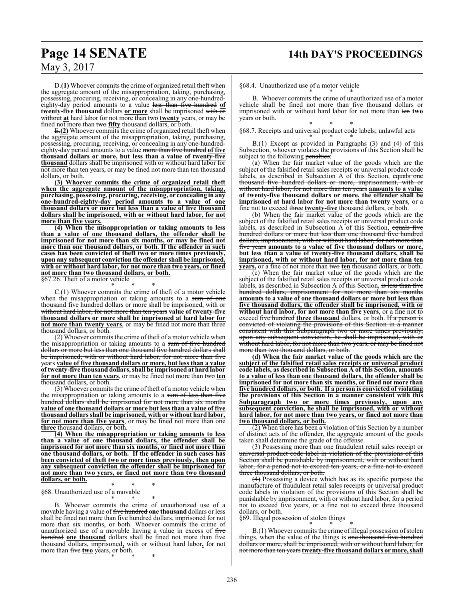## **Page 14 SENATE 14th DAY'S PROCEEDINGS**

May 3, 2017

D.**(1)** Whoever commits the crime of organized retail theft when the aggregate amount of the misappropriation, taking, purchasing, possessing, procuring, receiving, or concealing in any one-hundredeighty-day period amounts to a value less than five hundred **of twenty-five thousand** dollars **or more** shall be imprisoned with or without **at** hard labor for not more than two **twenty** years, or may be fined not more than two **fifty** thousand dollars, or both.

E.**(2)** Whoever commits the crime of organized retail theft when the aggregate amount of the misappropriation, taking, purchasing, possessing, procuring, receiving, or concealing in any one-hundredeighty-day period amounts to a value more than five hundred **of five thousand dollars or more, but less than a value of twenty-five thousand** dollars shall be imprisoned with or without hard labor for not more than ten years, or may be fined not more than ten thousand dollars, or both.

**(3) Whoever commits the crime of organized retail theft when the aggregate amount of the misappropriation, taking, purchasing, possessing, procuring, receiving, or concealing in any one-hundred-eighty-day period amounts to a value of one thousand dollars or more but less than a value of five thousand dollars shall be imprisoned, with or without hard labor, for not more than five years.**

**(4) When the misappropriation or taking amounts to less than a value of one thousand dollars, the offender shall be imprisoned for not more than six months, or may be fined not more than one thousand dollars, or both. If the offender in such cases has been convicted of theft two or more times previously, upon any subsequent conviction the offender shall be imprisoned, with or without hard labor, for not more than two years, or fined not more than two thousand dollars, or both.**

§67.26. Theft of a motor vehicle \* \* \*

C.(1) Whoever commits the crime of theft of a motor vehicle when the misappropriation or taking amounts to a sum of one thousand five hundred dollars or more shall be imprisoned, with or without hard labor, for not more than ten years **value of twenty-five thousand dollars or more shall be imprisoned at hard labor for not more than twenty years**, or may be fined not more than three thousand dollars, or both.

(2) Whoever commits the crime of theft of a motor vehicle when the misappropriation or taking amounts to a sum of five hundred dollars or more but less than one thousand five hundred dollars shall be imprisoned, with or without hard labor, for not more than five years **value of five thousand dollars or more, but less than a value of twenty-five thousand dollars, shall be imprisoned at hard labor for not more than ten years**, or may be fined not more than two **ten** thousand dollars, or both.

(3) Whoever commits the crime of theft of a motor vehicle when the misappropriation or taking amounts to a sum of less than five hundred dollars shall be imprisoned for not more than six months **value of one thousand dollars or more but less than a value of five thousand dollars shall be imprisoned, with or without hard labor, for not more than five years**, or may be fined not more than one **three** thousand dollars, or both.

**(4) When the misappropriation or taking amounts to less than a value of one thousand dollars, the offender shall be imprisoned for not more than six months, or fined not more than one thousand dollars, or both. If the offender in such cases has been convicted of theft two or more times previously, then upon any subsequent conviction the offender shall be imprisoned for not more than two years, or fined not more than two thousand dollars, or both.**

\* \* \* §68. Unauthorized use of a movable \* \* \*

B. Whoever commits the crime of unauthorized use of a movable having a value of five hundred **one thousand** dollars or less shall be fined not more than five hundred dollars, imprisoned for not more than six months, or both. Whoever commits the crime of unauthorized use of a movable having a value in excess of five hundred **one thousand** dollars shall be fined not more than five thousand dollars, imprisoned**,** with or without hard labor**,** for not more than five **two** years, or both. \* \* \*

§68.4. Unauthorized use of a motor vehicle

\* \* \* B. Whoever commits the crime of unauthorized use of a motor vehicle shall be fined not more than five thousand dollars or imprisoned with or without hard labor for not more than ten **two** years or both.

\* \* \* §68.7. Receipts and universal product code labels; unlawful acts

\* \* \* B.(1) Except as provided in Paragraphs (3) and (4) of this Subsection, whoever violates the provisions of this Section shall be subject to the following penalties:

(a) When the fair market value of the goods which are the subject of the falsified retail sales receipts or universal product code labels, as described in Subsection A of this Section, equals one thousand five hundred dollars or more, imprisonment, with or without hard labor, for not more than ten years **amounts to a value of twenty-five thousand dollars or more, the offender shall be imprisoned at hard labor for not more than twenty years**, or a fine not to exceed three **twenty-five** thousand dollars, or both.

(b) When the fair market value of the goods which are the subject of the falsified retail sales receipts or universal product code labels, as described in Subsection  $\overline{A}$  of this Section, equals five hundred dollars or more but less than one thousand five hundred dollars, imprisonment, with or without hard labor, for not more than five years **amounts to a value of five thousand dollars or more, but less than a value of twenty-five thousand dollars, shall be imprisoned, with or without hard labor, for not more than ten years,** or a fine of not more than two **ten** thousand dollars, or both.

(c) When the fair market value of the goods which are the subject of the falsified retail sales receipts or universal product code labels, as described in Subsection A of this Section, is less than five hundred dollars, imprisonment for not more than six months **amounts to a value of one thousand dollars or more but less than five thousand dollars, the offender shall be imprisoned, with or without hard labor, for not more than five years**, or a fine not to exceed five hundred three thousand dollars, or both. If a person is convicted of violating the provisions of this Section in a manner consistent with this Subparagraph two or more times previously, upon any subsequent conviction, he shall be imprisoned, with or without hard labor, for not more than two years, or may be fined not more than two thousand dollars, or both.

**(d) When the fair market value of the goods which are the subject of the falsified retail sales receipts or universal product code labels, as described in Subsection A of this Section, amounts to a value of less than one thousand dollars, the offender shall be imprisoned for not more than six months, or fined not more than five hundred dollars, or both. If a person is convicted of violating the provisions of this Section in a manner consistent with this Subparagraph two or more times previously, upon any subsequent conviction, he shall be imprisoned, with or without hard labor, for not more than two years, or fined not more than two thousand dollars, or both.**

(2) When there has been a violation of this Section by a number of distinct acts of the offender, the aggregate amount of the goods taken shall determine the grade of the offense.

(3) Possessing more than one fraudulent retail sales receipt or universal product code label in violation of the provisions of this Section shall be punishable by imprisonment, with or without hard labor, for a period not to exceed ten years, or a fine not to exceed three thousand dollars, or both.

(4) Possessing a device which has as its specific purpose the manufacture of fraudulent retail sales receipts or universal product code labels in violation of the provisions of this Section shall be punishable by imprisonment, with or without hard labor, for a period not to exceed five years, or a fine not to exceed three thousand dollars, or both.

§69. Illegal possession of stolen things \* \* \*

B.(1) Whoever commits the crime of illegal possession of stolen things, when the value of the things is one thousand five hundred dollars or more, shall be imprisoned, with or without hard labor, for not more than ten years **twenty-five thousand dollars or more, shall**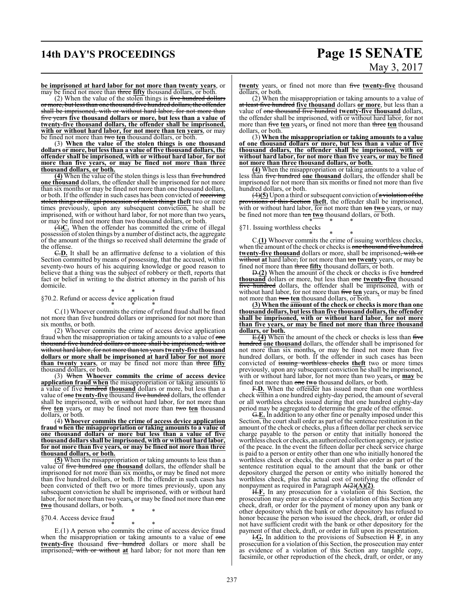# **14th DAY'S PROCEEDINGS Page 15 SENATE**

# May 3, 2017

**be imprisoned at hard labor for not more than twenty years**, or may be fined not more than three **fifty** thousand dollars, or both.

(2) When the value of the stolen things is five hundred dollars or more, but less than one thousand five hundred dollars, the offender shall be imprisoned, with or without hard labor, for not more than five years **five thousand dollars or more, but less than a value of twenty-five thousand dollars, the offender shall be imprisoned, with or without hard labor, for not more than ten years**, or may be fined not more than two **ten** thousand dollars, or both.

(3) **When the value of the stolen things is one thousand dollars or more, but less than a value of five thousand dollars, the offender shall be imprisoned, with or without hard labor, for not more than five years, or may be fined not more than three thousand dollars, or both.**

**(4)** When the value of the stolen things is less than five hundred **one thousand** dollars, the offender shall be imprisoned for not more than six months or may be fined not more than one thousand dollars, or both. If the offender in such cases has been convicted of receiving stolen things or illegal possession of stolen things **theft** two or more times previously, upon any subsequent conviction, he shall be imprisoned, with or without hard labor, for not more than two years**,** or may be fined not more than two thousand dollars, or both.

(4)**C.** When the offender has committed the crime of illegal possession of stolen things by a number of distinct acts, the aggregate of the amount of the things so received shall determine the grade of the offense.

C.**D.** It shall be an affirmative defense to a violation of this Section committed by means of possessing, that the accused, within seventy-two hours of his acquiring knowledge or good reason to believe that a thing was the subject of robbery or theft, reports that fact or belief in writing to the district attorney in the parish of his domicile.

\* \* \* §70.2. Refund or access device application fraud

\* \* \* C.(1) Whoever commits the crime of refund fraud shall be fined not more than five hundred dollars or imprisoned for not more than six months, or both.

(2) Whoever commits the crime of access device application fraud when the misappropriation or taking amounts to a value of one thousand five hundred dollars or more shall be imprisoned, with or without hard labor, for not more than ten years **twenty-five thousand dollars or more shall be imprisoned at hard labor for not more than twenty years**, or may be fined not more than three **fifty** thousand dollars, or both.

(3) When **Whoever commits the crime of access device application fraud when** the misappropriation or taking amounts to a value of five hundred **thousand** dollars or more, but less than a value of one **twenty-five** thousand five hundred dollars, the offender shall be imprisoned, with or without hard labor, for not more than five **ten** years**,** or may be fined not more than two **ten** thousand dollars, or both.

(4) **Whoever commits the crime of access device application fraud when the misappropriation or taking amounts to a value of one thousand dollars or more but less than a value of five thousand dollars shall be imprisoned, with or without hard labor, for not more than five years, or may be fined not more than three thousand dollars, or both.**

**(5)** When the misappropriation or taking amounts to less than a value of five hundred one thousand dollars, the offender shall be imprisoned for not more than six months**,** or may be fined not more than five hundred dollars, or both. If the offender in such cases has been convicted of theft two or more times previously, upon any subsequent conviction he shall be imprisoned, with or without hard labor, for not more than two years**,** or may be fined not more than one **two** thousand dollars, or both.

\* \* \* §70.4. Access device fraud

\* \* \*

E.(1) A person who commits the crime of access device fraud when the misappropriation or taking amounts to a value of one **twenty-five** thousand five hundred dollars or more shall be imprisoned, with or without **at** hard labor, for not more than ten **twenty** years, or fined not more than five **twenty-five** thousand dollars, or both.

(2) When the misappropriation or taking amounts to a value of at least five hundred **five thousand** dollars **or more**, but less than a value of one thousand five hundred **twenty-five thousand** dollars, the offender shall be imprisoned, with or without hard labor, for not more than five **ten** years**,** or fined not more than three **ten** thousand dollars, or both.

(3) **When the misappropriation or taking amounts to a value of one thousand dollars or more, but less than a value of five thousand dollars, the offender shall be imprisoned, with or without hard labor, for not more than five years, or may be fined not more than three thousand dollars, or both.**

**(4)** When the misappropriation or taking amounts to a value of less than five hundred **one thousand** dollars, the offender shall be imprisoned for not more than six months or fined not more than five hundred dollars, or both.

(4)**(5)** Upon a third or subsequent conviction of a violation ofthe provisions of this Section **theft**, the offender shall be imprisoned, with or without hard labor, for not more than ten two years, or may be fined not more than ten **two** thousand dollars, or both. \* \* \*

### §71. Issuing worthless checks

\* \* \* C.**(1)** Whoever commits the crime of issuing worthless checks, when the amount of the check or checks is one thousand five hundred **twenty-five thousand** dollars or more, shall be imprisoned, with or without **at** hard labor, for not more than ten **twenty** years, or may be fined not more than three **fifty** thousand dollars, or both.

D.**(2)** When the amount of the check or checks is five hundred **thousand** dollars or more, but less than one **twenty-five** thousand five hundred dollars, the offender shall be imprisoned, with or without hard labor, for not more than five **ten** years**,** or may be fined not more than two **ten** thousand dollars, or both.

**(3) When the amount of the check or checks is more than one thousand dollars, but less than five thousand dollars, the offender shall be imprisoned, with or without hard labor, for not more than five years, or may be fined not more than three thousand dollars, or both.**

E.**(4)** When the amount of the check or checks is less than five hundred **one thousand** dollars, the offender shall be imprisoned for not more than six months**,** or may be fined not more than five hundred dollars, or both. If the offender in such cases has been convicted of issuing worthless checks **theft** two or more times previously, upon any subsequent conviction he shall be imprisoned, with or without hard labor, for not more than two years**,** or **may** be fined not more than one **two** thousand dollars, or both.

F.**D.** When the offender has issued more than one worthless check within a one hundred eighty-day period, the amount of several or all worthless checks issued during that one hundred eighty-day period may be aggregated to determine the grade of the offense.

G.**E.** In addition to any other fine or penalty imposed under this Section, the court shall order as part of the sentence restitution in the amount of the check or checks, plus a fifteen dollar per check service charge payable to the person or entity that initially honored the worthless check or checks, an authorized collection agency, or justice of the peace. In the event the fifteen dollar per check service charge is paid to a person or entity other than one who initially honored the worthless check or checks, the court shall also order as part of the sentence restitution equal to the amount that the bank or other depository charged the person or entity who initially honored the worthless check, plus the actual cost of notifying the offender of nonpayment as required in Paragraph A(2)**(A)(2)**.

H.**F.** In any prosecution for a violation of this Section, the prosecution may enter as evidence of a violation of this Section any check, draft, or order for the payment of money upon any bank or other depository which the bank or other depository has refused to honor because the person who issued the check, draft, or order did not have sufficient credit with the bank or other depository for the payment of that check, draft, or order in full upon its presentation.

I.**G.** In addition to the provisions of Subsection H **F**, in any prosecution for a violation of this Section, the prosecution may enter as evidence of a violation of this Section any tangible copy, facsimile, or other reproduction of the check, draft, or order, or any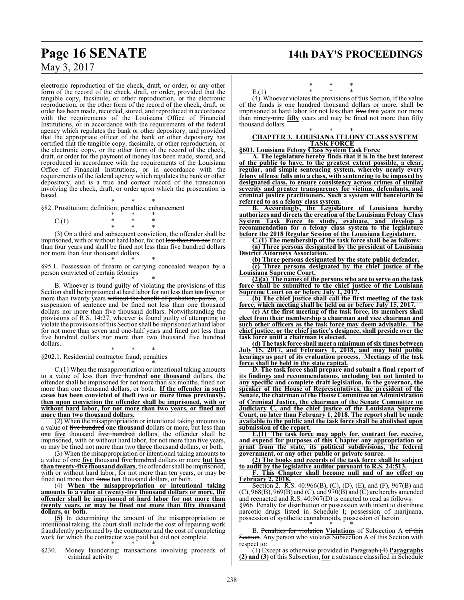electronic reproduction of the check, draft, or order, or any other form of the record of the check, draft, or order, provided that the tangible copy, facsimile, or other reproduction, or the electronic reproduction, or the other form of the record of the check, draft, or order has been made, recorded, stored, and reproduced in accordance with the requirements of the Louisiana Office of Financial Institutions, or in accordance with the requirements of the federal agency which regulates the bank or other depository, and provided that the appropriate officer of the bank or other depository has certified that the tangible copy, facsimile, or other reproduction, or the electronic copy, or the other form of the record of the check, draft, or order for the payment of money has been made, stored, and reproduced in accordance with the requirements of the Louisiana Office of Financial Institutions, or in accordance with the requirements of the federal agency which regulates the bank or other depository, and is a true and correct record of the transaction involving the check, draft, or order upon which the prosecution is based.

\* \* \* §82. Prostitution; definition; penalties; enhancement

$$
C.(1) \qquad \qquad \begin{array}{cccc}\n & * & * & * & * \\
 & * & * & * & * \\
 & * & * & * & * \\
 & * & * & * & * \\
 & * & * & * & * \\
 & * & * & * & * \\
 & * & * & * & * \\
 & * & * & * & * \\
 & * & * & * & * \\
 & * & * & * & * \\
 & * & * & * & * \\
 & * & * & * & * \\
 & * & * & * & * \\
 & * & * & * & * \\
 & * & * & * & * \\
 & * & * & * & * \\
 & * & * & * & * \\
 & * & * & * & * \\
 & * & * & * & * \\
 & * & * & * & * \\
 & * & * & * & * \\
 & * & * & * & * \\
 & * & * & * & * \\
 & * & * & * & * \\
 & * & * & * & * \\
 & * & * & * & * \\
 & * & * & * & * \\
 & * & * & * & * \\
 & * & * & * & * \\
 & * & * & * & * \\
 & * & * & * & * \\
 & * & * & * & * \\
 & * & * & * & * \\
 & * & * & * & * \\
 & * & * & * & * \\
 & * & * & * & * \\
 & * & * & * & * \\
 & * & * & * & * & * \\
 & * & * & * & * & * \\
 & * & * & * & * & * \\
 & * & * & * & * & * \\
 & * & * & * & * & * \\
 & * & * & * & * & * \\
 & * & * & * & * & * \\
 & * & * & * & * & * \\
 & * & * & * & * & * \\
 & * & * & * & * & * \\
 & * & * & * & * & * \\
 & * & * & * & * & * \\
 & * & * & * & * & * & * \\
 & * & * & * & * & * & * \\
 & * & * & * & * & * & * \\
 & * & * & * & * & * & * \\
 & * & * & * & * & * & * \\
 & * & * & * & * & * & * \\
 & * & * & * & * & * & * \\
 & * & * & * & * & * & * \\
 & * & * & * & * & * & * \\
 & * & * & * & * & * & * \\
 & * & * & * & * & * & * \\
 & * & * & * & * & * & * \\
 & * & * & * & * & * & * \\
 & * & * & * & * & * & * \\
 & * & * & * & * & * & * \\
 & * & * & * & * & * & * \\
 & * & * & * & * & * & * \\
 & * & * & * & * & * & * \\
 & * & * & * & * & * & * \\
 & * & * & * & * & * & * \\
 & * & * & * & * & * & * \\
 & * &
$$

(3) On a third and subsequent conviction, the offender shall be imprisoned, with or without hard labor, for not less than two nor more than four years and shall be fined not less than five hundred dollars nor more than four thousand dollars.

\* \* \* §95.1. Possession of firearm or carrying concealed weapon by a person convicted of certain felonies

\* \* \* B. Whoever is found guilty of violating the provisions of this Section shall be imprisoned at hard labor for not less than ten **five** nor more than twenty years without the benefit of probation, parole, or suspension of sentence and be fined not less than one thousand dollars nor more than five thousand dollars. Notwithstanding the provisions of R.S. 14:27, whoever is found guilty of attempting to violate the provisions ofthis Section shall be imprisoned at hard labor for not more than seven and one-half years and fined not less than five hundred dollars nor more than two thousand five hundred dollars.

\* \* \* §202.1. Residential contractor fraud; penalties

\* \* \* C.(1) When the misappropriation or intentional taking amounts to a value of less than five hundred **one thousand** dollars, the offender shall be imprisoned for not more than six months, fined not more than one thousand dollars, or both. **If the offender in such cases has been convicted of theft two or more times previously, then upon conviction the offender shall be imprisoned, with or without hard labor, for not more than two years, or fined not more than two thousand dollars.**

(2) When the misappropriation or intentional taking amounts to a value of five hundred **one thousand** dollars or more, but less than one **five** thousand five hundred dollars, the offender shall be imprisoned, with or without hard labor, for not more than five years, or may be fined not more than two **three** thousand dollars, or both.

 $(3)$  When the misappropriation or intentional taking amounts to a value of one **five** thousand five hundred dollars or more **but less** than twenty-five thousand dollars, the offender shall be imprisoned, with or without hard labor, for not more than ten years, or may be fined not more than three **ten** thousand dollars, or both.

(4) **When the misappropriation or intentional taking amounts to a value of twenty-five thousand dollars or more, the offender shall be imprisoned at hard labor for not more than twenty years, or may be fined not more than fifty thousand dollars, or both.**

**(5)** In determining the amount of the misappropriation or intentional taking, the court shall include the cost of repairing work fraudulently performed by the contractor and the cost of completing work for which the contractor was paid but did not complete. \* \* \*

§230. Money laundering; transactions involving proceeds of criminal activity

\* \* \* E.(1) \* \* \*

(4) Whoever violates the provisions of this Section, if the value of the funds is one hundred thousand dollars or more, shall be imprisoned at hard labor for not less than five **two** years nor more than ninety-nine fifty years and may be fined not more than fifty thousand dollars.

### \* \* \* **CHAPTER 3. LOUISIANA FELONY CLASS SYSTEM TASK FORCE**

**§601. Louisiana Felony Class System Task Force**

**A. The legislature hereby finds that it is in the best interest of the public to have, to the greatest extent possible, a clear, regular, and simple sentencing system, whereby nearly every felony offense falls into a class, with sentencing to be imposed by designated class, to ensure consistency across crimes of similar severity and greater transparency for victims, defendants, and criminal justice practitioners. Such a system will henceforth be referred to as a felony class system.**

**B. Accordingly, the Legislature of Louisiana hereby authorizes and directs the creation of the Louisiana Felony Class System Task Force to study, evaluate, and develop a recommendation for a felony class system to the legislature before the 2018 Regular Session of the Louisiana Legislature.**

**C.(1) The membership of the task force shall be as follows: (a) Three persons designated by the president of Louisiana District Attorneys Association.**

**(b) Three persons designated by the state public defender.**

**(c) Three persons designated by the chief justice of the Louisiana Supreme Court.**

**(2)(a) The names of the persons who are to serve on the task force shall be submitted to the chief justice of the Louisiana Supreme Court on or before July 1, 2017.**

**(b) The chief justice shall call the first meeting of the task force, which meeting shall be held on or before July 15, 2017.**

**(c) At the first meeting of the task force, its members shall elect from their membership a chairman and vice chairman and such other officers as the task force may deem advisable. The chief justice, or the chief justice's designee, shall preside over the task force until a chairman is elected.**

**(d) The task force shall meet a minimum of six times between July 15, 2017, and February 1, 2018, and may hold public hearings as part of its evaluation process. Meetings of the task force shall be held in the state capital.**

**D. The task force shall prepare and submit a final report of its findings and recommendations, including but not limited to any specific and complete draft legislation, to the governor, the speaker of the House of Representatives, the president of the Senate, the chairman of the House Committee on Administration of Criminal Justice, the chairman of the Senate Committee on Judiciary C, and the chief justice of the Louisiana Supreme Court, no later than February 1, 2018. The report shall be made available to the public and the task force shall be abolished upon submission of the report.**

**E.(1) The task force may apply for, contract for, receive, and expend for purposes of this Chapter any appropriation or grant from the state, its political subdivisions, the federal government, or any other public or private source.**

**(2) The books and records of the task force shall be subject to audit by the legislative auditor pursuant to R.S. 24:513.**

**F. This Chapter shall become null and of no effect on February 2, 2018.**

Section 2. R.S. 40:966(B), (C), (D), (E), and (F), 967(B) and  $(C)$ , 968 $(B)$ , 969 $(B)$  and  $(C)$ , and 970 $(B)$  and  $(C)$  are hereby amended and reenacted and R.S. 40:967(D) is enacted to read as follows: §966. Penalty for distribution or possession with intent to distribute narcotic drugs listed in Schedule I; possession of marijuana, possession of synthetic cannabinoids, possession of heroin

\* \* \* B. Penalties for violation **Violations** of Subsection A of this Section. Any person who violates Subsection A of this Section with respect to:

(1) Except as otherwise provided in Paragraph (4) **Paragraphs (2) and (3)** of this Subsection, **for** a substance classified in Schedule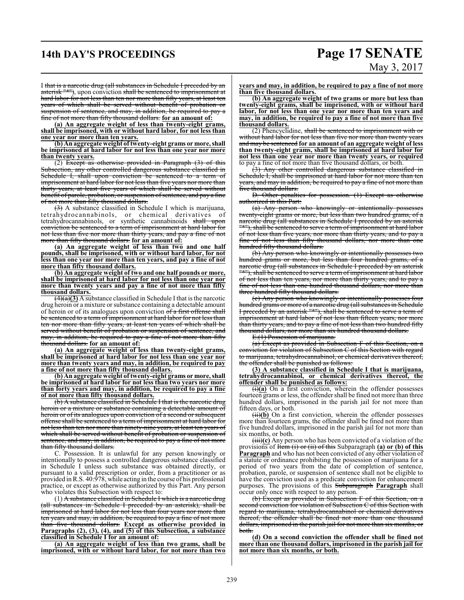# **14th DAY'S PROCEEDINGS Page 17 SENATE** May 3, 2017

I that is a narcotic drug (all substances in Schedule I preceded by an asterisk "\*"), upon conviction shall be sentenced to imprisonment at hard labor for not less than ten nor more than fifty years, at least ten years of which shall be served without benefit of probation or suspension of sentence, and may, in addition, be required to pay a fine of not more than fifty thousand dollars. **for an amount of:**

**(a) An aggregate weight of less than twenty-eight grams, shall be imprisoned, with or without hard labor, for not less than one year nor more than ten years.**

**(b) An aggregate weight of twenty-eight grams or more, shall be imprisoned at hard labor for not less than one year nor more than twenty years.**

(2) Except as otherwise provided in Paragraph  $(3)$  of this Subsection, any other controlled dangerous substance classified in Schedule I, shall upon conviction be sentenced to a term of imprisonment at hard labor for not less than five years nor more than thirty years, at least five years of which shall be served without benefit of parole, probation, or suspension of sentence, and pay a fine of not more than fifty thousand dollars.

(3) A substance classified in Schedule I which is marijuana, tetrahydrocannabinols, or chemical derivatives of tetrahydrocannabinols, or synthetic cannabinoids <del>shall upon</del> conviction be sentenced to a term of imprisonment at hard labor for not less than five nor more than thirty years, and pay a fine of not more than fifty thousand dollars. **for an amount of:**

**(a) An aggregate weight of less than two and one half pounds, shall be imprisoned, with or without hard labor, for not less than one year nor more than ten years, and pay a fine of not more than fifty thousand dollars.**

**(b) An aggregate weight of two and one half pounds or more, shall be imprisoned at hard labor for not less than one year nor more than twenty years and pay a fine of not more than fifty thousand dollars.**

 $\overline{(\mathbf{a})(3)}$  A substance classified in Schedule I that is the narcotic drug heroin or a mixture or substance containing a detectable amount of heroin or of its analogues upon conviction of a first offense shall be sentenced to a term of imprisonment at hard labor for not less than ten nor more than fifty years, at least ten years of which shall be served without benefit of probation or suspension of sentence, and may, in addition, be required to pay a fine of not more than fifty thousand dollars. **for an amount of:**

**(a) An aggregate weight of less than twenty-eight grams, shall be imprisoned at hard labor for not less than one year nor more than twenty years and may, in addition, be required to pay a fine of not more than fifty thousand dollars.**

**(b) An aggregate weight of twenty-eight grams or more, shall be imprisoned at hard labor for not less than two years nor more than forty years and may, in addition, be required to pay a fine of not more than fifty thousand dollars.**

(b) A substance classified in Schedule I that is the narcotic drug heroin or a mixture or substance containing a detectable amount of heroin or of its analogues upon conviction of a second or subsequent offense shall be sentenced to a term ofimprisonment at hard labor for not less than ten nor more than ninety-nine years, at least ten years of which shall be served without benefit of probation or suspension of sentence, and may, in addition, be required to pay a fine of not more than fifty thousand dollars.

C. Possession. It is unlawful for any person knowingly or intentionally to possess a controlled dangerous substance classified in Schedule I unless such substance was obtained directly, or pursuant to a valid prescription or order, from a practitioner or as provided inR.S. 40:978, while acting in the course of his professional practice, or except as otherwise authorized by this Part. Any person who violates this Subsection with respect to:

(1) A substance classified in Schedule I which is a narcotic drug (all substances in Schedule I preceded by an asterisk), shall be imprisoned at hard labor for not less than four years nor more than ten years and may, in addition, be required to pay a fine of not more than five thousand dollars. **Except as otherwise provided in Paragraphs (2), (3), (4), and (5) of this Subsection, a substance classified in Schedule I for an amount of:**

**(a) An aggregate weight of less than two grams, shall be imprisoned, with or without hard labor, for not more than two** **years and may, in addition, be required to pay a fine of not more than five thousand dollars.**

**(b) An aggregate weight of two grams or more but less than twenty-eight grams, shall be imprisoned, with or without hard labor, for not less than one year nor more than ten years and may, in addition, be required to pay a fine of not more than five thousand dollars.**

(2) Phencyclidine, shall be sentenced to imprisonment with or without hard labor for not less than five nor more than twenty and may be sentenced **for an amount of an aggregate weight of less than twenty-eight grams, shall be imprisoned at hard labor for not less than one year nor more than twenty years, or required** to pay a fine of not more than five thousand dollars, or both.

(3) Any other controlled dangerous substance classified in Schedule I, shall be imprisoned at hard labor for not more than ten years, and may in addition, be required to pay a fine of not more than five thousand dollars.

D. Other penalties for possession. (1) Except as otherwise authorized in this Part:

(a) Any person who knowingly or intentionally possesses twenty-eight grams or more, but less than two hundred grams, of a narcotic drug (all substances in Schedule I preceded by an asterisk "\*"), shall be sentenced to serve a term of imprisonment at hard labor of not less than five years, nor more than thirty years, and to pay a fine of not less than fifty thousand dollars, nor more than one hundred fifty thousand dollars.

(b) Any person who knowingly or intentionally possesses two hundred grams or more, but less than four hundred grams, of a narcotic drug (all substances in Schedule I preceded by an asterisk "\*"), shall be sentenced to serve a term of imprisonment at hard labor of not less than ten years, nor more than thirty years, and to pay a fine of not less than one hundred thousand dollars, nor more than three hundred fifty thousand dollars.

(c) Any person who knowingly or intentionally possesses four hundred grams or more of a narcotic drug (all substances in Schedule I preceded by an asterisk "\*"), shall be sentenced to serve a term of imprisonment at hard labor of not less than fifteen years, nor more than thirty years, and to pay a fine of not less than two hundred fifty thousand dollars, nor more than six hundred thousand dollars.

E.(1) Possession of marijuana.

(a) Except as provided in Subsection F of this Section, on a conviction for violation of Subsection C of this Section with regard to marijuana, tetrahydrocannabinol, or chemical derivatives thereof, the offender shall be punished as follows:

**(3) A substance classified in Schedule I that is marijuana, tetrahydrocannabinol, or chemical derivatives thereof, the offender shall be punished as follows:**

(i)**(a)** On a first conviction, wherein the offender possesses fourteen grams or less, the offender shall be fined not more than three hundred dollars, imprisoned in the parish jail for not more than fifteen days, or both.

(ii)**(b)** On a first conviction, wherein the offender possesses more than fourteen grams, the offender shall be fined not more than five hundred dollars, imprisoned in the parish jail for not more than six months, or both.

(iii)**(c)** Any person who has been convicted of a violation of the provisions of Item (i) or (ii) of this Subparagraph **(a) or (b) of this Paragraph** and who has not been convicted of any other violation of a statute or ordinance prohibiting the possession of marijuana for a period of two years from the date of completion of sentence, probation, parole, or suspension of sentence shall not be eligible to have the conviction used as a predicate conviction for enhancement purposes. The provisions of this Subparagraph **Paragraph** shall occur only once with respect to any person.

(b) Except as provided in Subsection F of this Section, on a second conviction for violation of Subsection C of this Section with regard to marijuana, tetrahydrocannabinol or chemical derivatives thereof, the offender shall be fined not more than one thousand dollars, imprisoned in the parish jail for not more than six months, or both.

**(d) On a second conviction the offender shall be fined not more than one thousand dollars, imprisoned in the parish jail for not more than six months, or both.**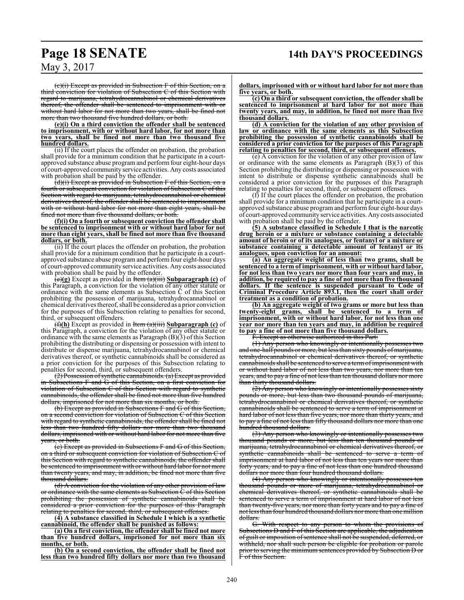(c)(i) Except as provided in Subsection F of this Section, on a third conviction for violation of Subsection C of this Section with regard to marijuana, tetrahydrocannabinol or chemical derivatives thereof, the offender shall be sentenced to imprisonment with or without hard labor for not more than two years, shall be fined not more than two thousand five hundred dollars, or both.

**(e)(i) On a third conviction the offender shall be sentenced to imprisonment, with or without hard labor, for not more than two years, shall be fined not more than two thousand five hundred dollars.**

(ii) If the court places the offender on probation, the probation shall provide for a minimum condition that he participate in a courtapproved substance abuse programand perform four eight-hour days of court-approved community service activities. Any costs associated with probation shall be paid by the offender.

(d)(i) Except as provided in Subsection F of this Section, on a fourth or subsequent conviction for violation of Subsection C of this Section with regard to marijuana, tetrahydrocannabinol or chemical derivatives thereof, the offender shall be sentenced to imprisonment with or without hard labor for not more than eight years, shall be fined not more than five thousand dollars, or both.

**(f)(i) On a fourth or subsequent conviction the offender shall be sentenced to imprisonment with or without hard labor for not more than eight years, shall be fined not more than five thousand dollars, or both.**

(ii) If the court places the offender on probation, the probation shall provide for a minimum condition that he participate in a courtapproved substance abuse program and perform four eight-hour days of court-approved community service activities. Any costs associated with probation shall be paid by the offender.

(e)**(g)** Except as provided in Item (a)(iii) **Subparagraph (c)** of this Paragraph, a conviction for the violation of any other statute or ordinance with the same elements as Subsection C of this Section prohibiting the possession of marijuana, tetrahydrocannabinol or chemical derivatives thereof, shall be considered as a prior conviction for the purposes of this Subsection relating to penalties for second, third, or subsequent offenders.

(f)**(h)** Except as provided in Item (a)(iii) **Subparagraph (c)** of this Paragraph, a conviction for the violation of any other statute or ordinance with the same elements as Paragraph (B)(3) of this Section prohibiting the distributing or dispensing or possession with intent to distribute or dispense marijuana, tetrahydrocannabinol or chemical derivatives thereof, or synthetic cannabinoids shall be considered as a prior conviction for the purposes of this Subsection relating to penalties for second, third, or subsequent offenders.

 $(2)$  Possession of synthetic cannabinoids.  $(a)$  Except as provided Subsections F and G of this Section, on a first conviction for violation of Subsection C of this Section with regard to synthetic cannabinoids, the offender shall be fined not more than five hundred dollars, imprisoned for not more than six months, or both.

(b) Except as provided in Subsections F and G of this Section, on a second conviction for violation of Subsection C of this Section with regard to synthetic cannabinoids, the offender shall be fined not less than two hundred fifty dollars nor more than two thousand dollars, imprisoned with or without hard labor for not more than five years, or both.

(c) Except as provided in Subsections F and G of this Section, on a third or subsequent conviction for violation of Subsection C of this Section with regard to synthetic cannabinoids, the offender shall be sentenced to imprisonment with or without hard labor for not more than twenty years, and may, in addition, be fined not more than five thousand dollars.

(d) A conviction for the violation of any other provision of law or ordinance with the same elements as Subsection C of this Section prohibiting the possession of synthetic cannabinoids shall be considered a prior conviction for the purposes of this Paragraph relating to penalties for second, third, or subsequent offenses.

**(4) A substance classified in Schedule I which is a synthetic cannabinoid, the offender shall be punished as follows:**

**(a) On a first conviction, the offender shall be fined not more than five hundred dollars, imprisoned for not more than six months, or both.**

**(b) On a second conviction, the offender shall be fined not less than two hundred fifty dollars nor more than two thousand**

**dollars, imprisoned with or without hard labor for not more than five years, or both.**

**(c) On a third or subsequent conviction, the offender shall be sentenced to imprisonment at hard labor for not more than twenty years, and may, in addition, be fined not more than five thousand dollars.**

**(d) A conviction for the violation of any other provision of law or ordinance with the same elements as this Subsection prohibiting the possession of synthetic cannabinoids shall be considered a prior conviction for the purposes of this Paragraph relating to penalties for second, third, or subsequent offenses.**

(e) A conviction for the violation of any other provision of law or ordinance with the same elements as Paragraph (B)(3) of this Section prohibiting the distributing or dispensing or possession with intent to distribute or dispense synthetic cannabinoids shall be considered a prior conviction for the purposes of this Paragraph relating to penalties for second, third, or subsequent offenses.

(f) If the court places the offender on probation, the probation shall provide for a minimum condition that he participate in a courtapproved substance abuse program and perform four eight-hour days of court-approved community service activities. Any costs associated with probation shall be paid by the offender.

**(5) A substance classified in Schedule I that is the narcotic drug heroin or a mixture or substance containing a detectable amount of heroin or of its analogues, or fentanyl or a mixture or substance containing a detectable amount of fentanyl or its analogues, upon conviction for an amount:**

**(a) An aggregate weight of less than two grams, shall be sentenced to a term of imprisonment, with or without hard labor, for not less than two years nor more than four years and may, in addition, be required to pay a fine of not more than five thousand dollars. If the sentence is suspended pursuant to Code of Criminal Procedure Article 893.1, then the court shall order treatment as a condition of probation.**

**(b) An aggregate weight of two grams or more but less than twenty-eight grams, shall be sentenced to a term of imprisonment, with or without hard labor, for not less than one year nor more than ten years and may, in addition be required to pay a fine of not more than five thousand dollars.**

F. Except as otherwise authorized in this Part:

(1) Any person who knowingly or intentionally possesses two and one-half pounds or more, but less than sixty pounds of marijuana, tetrahydrocannabinol or chemical derivatives thereof, or synthetic cannabinoids shall be sentenced to serve a termofimprisonment with or without hard labor of not less than two years, nor more than ten years, and to pay a fine of not less than ten thousand dollars nor more than thirty thousand dollars.

(2) Any person who knowingly or intentionally possesses sixty pounds or more, but less than two thousand pounds of marijuana, tetrahydrocannabinol or chemical derivatives thereof, or synthetic cannabinoids shall be sentenced to serve a term of imprisonment at hard labor of not less than five years, nor more than thirty years, and to pay a fine of not less than fifty thousand dollars nor more than one hundred thousand dollars.

(3) Any person who knowingly or intentionally possesses two thousand pounds or more, but less than ten thousand pounds of marijuana, tetrahydrocannabinol or chemical derivatives thereof, or synthetic cannabinoids shall be sentenced to serve a term of imprisonment at hard labor of not less than ten years nor more than forty years, and to pay a fine of not less than one hundred thousand dollars nor more than four hundred thousand dollars.

 $(4)$  Any person who knowingly or intentionally possesses thousand pounds or more of marijuana, tetrahydrocannabinol or chemical derivatives thereof, or synthetic cannabinoids shall be sentenced to serve a term of imprisonment at hard labor of not less than twenty-five years, nor more than forty years and to pay a fine of not less than four hundred thousand dollars nor more than one million dollars.

G. With respect to any person to whom the provisions of Subsections D and F of this Section are applicable, the adjudication of guilt or imposition ofsentence shall not be suspended, deferred, or withheld, nor shall such person be eligible for probation or parole prior to serving the minimum sentences provided by Subsection D or F of this Section.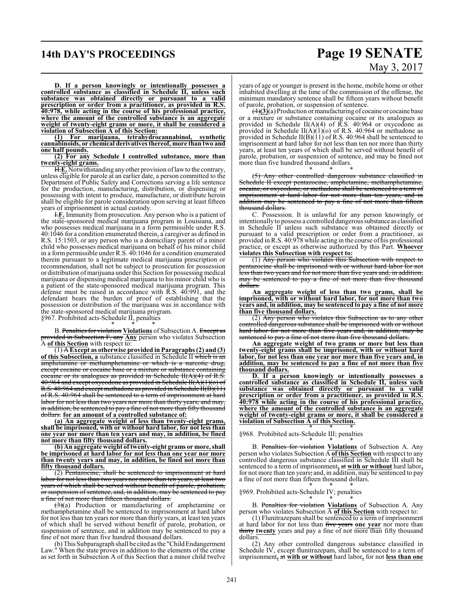### **14th DAY'S PROCEEDINGS Page 19 SENATE**

# May 3, 2017

**D. If a person knowingly or intentionally possesses a controlled substance as classified in Schedule II, unless such substance was obtained directly or pursuant to a valid prescription or order from a practitioner, as provided in R.S. 40:978, while acting in the course of his professional practice, where the amount of the controlled substance is an aggregate weight of twenty-eight grams or more, it shall be considered a violation of Subsection A of this Section:**

**(1) For marijuana, tetrahydrocannabinol, synthetic cannabinoids, or chemical derivatives thereof, more than two and one half pounds.**

**(2) For any Schedule I controlled substance, more than twenty-eight grams.**

H.E. Notwithstanding any other provision of law to the contrary, unless eligible for parole at an earlier date, a person committed to the Department of Public Safety and Corrections serving a life sentence for the production, manufacturing, distribution, or dispensing or possessing with intent to produce, manufacture, or distribute heroin shall be eligible for parole consideration upon serving at least fifteen years of imprisonment in actual custody.

I.**F.** Immunity from prosecution. Any person who is a patient of the state-sponsored medical marijuana program in Louisiana, and who possesses medical marijuana in a form permissible under R.S. 40:1046 for a condition enumerated therein, a caregiver as defined in R.S. 15:1503, or any person who is a domiciliary parent of a minor child who possesses medical marijuana on behalf of his minor child in a form permissible under R.S. 40:1046 for a condition enumerated therein pursuant to a legitimate medical marijuana prescription or recommendation, shall not be subject to prosecution for possession or distribution of marijuana under this Section for possessing medical marijuana or dispensing medical marijuana to his minor child who is a patient of the state-sponsored medical marijuana program. This defense must be raised in accordance with R.S. 40:991, and the defendant bears the burden of proof of establishing that the possession or distribution of the marijuana was in accordance with the state-sponsored medical marijuana program. §967. Prohibited acts-Schedule II, penalties

\* \* \*

B. Penalties for violation **Violations** of Subsection A. Except as provided in Subsection F, any **Any** person who violates Subsection A of this Section with respect to:

(1) A **Except as otherwise provided in Paragraphs (2) and (3) of this Subsection, a** substance classified in Schedule II which is an amphetamine or methamphetamine or which is a narcotic drug, except cocaine or cocaine base or a mixture or substance containing cocaine or its analogues as provided in Schedule  $H(A)(4)$  of R.S. 40:964 and except oxycodone as provided in Schedule II(A)(1)(o) of R.S. 40:964 and except methadone as provided in Schedule  $\hat{H}(\hat{B})(11)$ of R.S. 40:964 shall be sentenced to a term of imprisonment at hard labor for not less than two years nor more than thirty years; and may, in addition, be sentenced to pay a fine of not more than fifty thousand dollars. **for an amount of a controlled substance of:**

**(a) An aggregate weight of less than twenty-eight grams, shall be imprisoned, with or without hard labor, for not less than one year nor more than ten years and may, in addition, be fined not more than fifty thousand dollars.**

**(b) An aggregate weight of twenty-eight grams or more, shall be imprisoned at hard labor for not less than one year nor more than twenty years and may, in addition, be fined not more than fifty thousand dollars.**

(2) Pentazocine, shall be sentenced to imprisonment at hard labor for not less than two years nor more than ten years, at least two years of which shall be served without benefit of parole, probation, or suspension of sentence, and, in addition, may be sentenced to pay a fine of not more than fifteen thousand dollars.

 $\left(\frac{3}{2}\right)$  Production or manufacturing of amphetamine or methamphetamine shall be sentenced to imprisonment at hard labor for not less than ten years nor more than thirty years, at least ten years of which shall be served without benefit of parole, probation, or suspension of sentence, and in addition may be sentenced to pay a fine of not more than five hundred thousand dollars.

(b) This Subparagraph shall be cited as the "Child Endangerment Law." When the state proves in addition to the elements of the crime as set forth in Subsection A of this Section that a minor child twelve

years of age or younger is present in the home, mobile home or other inhabited dwelling at the time of the commission of the offense, the minimum mandatory sentence shall be fifteen years without benefit of parole, probation, or suspension of sentence.

(4)**(3)**(a) Production or manufacturing of cocaine or cocaine base or a mixture or substance containing cocaine or its analogues as provided in Schedule II(A)(4) of R.S. 40:964 or oxycodone as provided in Schedule  $II(A)(1)(o)$  of R.S. 40:964 or methadone as provided in Schedule  $II(B)(11)$  of R.S. 40:964 shall be sentenced to imprisonment at hard labor for not less than ten nor more than thirty years, at least ten years of which shall be served without benefit of parole, probation, or suspension of sentence, and may be fined not more than five hundred thousand dollars. \* \* \*

(5) Any other controlled dangerous substance classified in Schedule II except pentazocine, amphetamine, methamphetamine, cocaine, or oxycodone, or methadone shall be sentenced to a term of imprisonment at hard labor for not more than ten years, and in addition may be sentenced to pay a fine of not more than fifteen thousand dollars.

C. Possession. It is unlawful for any person knowingly or intentionally to possess a controlled dangeroussubstance as classified in Schedule II unless such substance was obtained directly or pursuant to a valid prescription or order from a practitioner, as provided in R.S. 40:978 while acting in the course of his professional practice, or except as otherwise authorized by this Part. **Whoever violates this Subsection with respect to:**

(1) Any person who violates this Subsection with respect to pentazocine shall be imprisoned with or without hard labor for not less than two years and for not more than five years and, in addition, may be sentenced to pay a fine of not more than five thousand dollars.

**An aggregate weight of less than two grams, shall be imprisoned, with or without hard labor, for not more than two years and, in addition, may be sentenced to pay a fine of not more than five thousand dollars.**

(2) Any person who violates this Subsection as to any other controlled dangerous substance shall be imprisoned with or without hard labor for not more than five years and, in addition, may be sentenced to pay a fine of not more than five thousand dollars.

**An aggregate weight of two grams or more but less than twenty-eight grams shall be imprisoned, with or without hard labor, for not less than one year nor more than five years and, in addition, may be sentenced to pay a fine of not more than five thousand dollars.**

**D. If a person knowingly or intentionally possesses a controlled substance as classified in Schedule II, unless such substance was obtained directly or pursuant to a valid prescription or order from a practitioner, as provided in R.S. 40:978 while acting in the course of his professional practice, where the amount of the controlled substance is an aggregate weight of twenty-eight grams or more, it shall be considered a violation of Subsection A of this Section.**

\* \* \* §968. Prohibited acts-Schedule III; penalties

\* \* \* B. Penalties for violation **Violations** of Subsection A. Any person who violates Subsection A **of this Section** with respect to any controlled dangerous substance classified in Schedule III shall be sentenced to a term of imprisonment**,** at **with or without** hard labor**,** for not more than ten years; and, in addition, may be sentenced to pay a fine of not more than fifteen thousand dollars.

\* \* \* §969. Prohibited acts-Schedule IV; penalties

\* \* \* B. Penalties for violation **Violations** of Subsection A. Any person who violates Subsection A **of this Section** with respect to:

(1) Flunitrazepam shall be sentenced to a term of imprisonment at hard labor for not less than five years **one year** nor more than thirty **twenty** years and pay a fine of not more than fifty thousand dollars.

(2) Any other controlled dangerous substance classified in Schedule IV, except flunitrazepam, shall be sentenced to a term of imprisonment**,** at **with or without** hard labor**,** for not **less than one**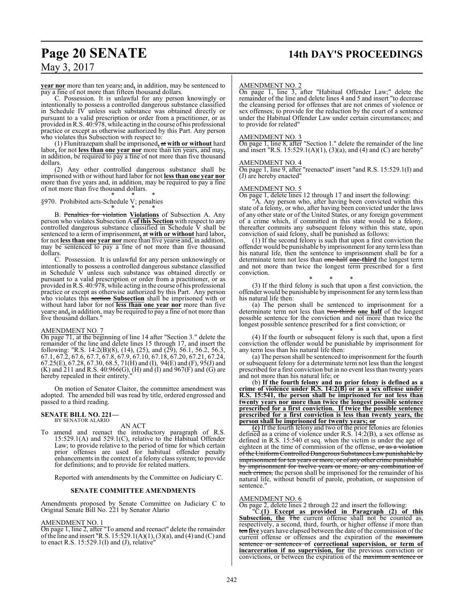# **Page 20 SENATE 14th DAY'S PROCEEDINGS**

### May 3, 2017

**year nor** more than ten years; and**,** in addition, may be sentenced to pay a fine of not more than fifteen thousand dollars.

C. Possession. It is unlawful for any person knowingly or intentionally to possess a controlled dangerous substance classified in Schedule IV unless such substance was obtained directly or pursuant to a valid prescription or order from a practitioner, or as provided inR.S. 40:978, while acting in the course of his professional practice or except as otherwise authorized by this Part. Any person who violates this Subsection with respect to:

(1) Flunitrazepam shall be imprisoned**,** at **with or without** hard labor**,** for not **less than one year nor** more than ten years, and may**,** in addition, be required to pay a fine of not more than five thousand dollars.

(2) Any other controlled dangerous substance shall be imprisoned with or without hard labor for not **less than one year nor** more than five years and, in addition, may be required to pay a fine of not more than five thousand dollars.

\* \* \* §970. Prohibited acts-Schedule V; penalties

\* \* \* B. Penalties for violation **Violations** of Subsection A. Any person who violates Subsection A **of this Section** with respect to any controlled dangerous substance classified in Schedule V shall be sentenced to a term of imprisonment**,** at **with or without** hard labor**,** for not **less than one year nor** more than five years; and, in addition, may be sentenced to pay a fine of not more than five thousand dollars.

C. Possession. It is unlawful for any person unknowingly or intentionally to possess a controlled dangerous substance classified in Schedule V unless such substance was obtained directly or pursuant to a valid prescription or order from a practitioner, or as provided inR.S. 40:978, while acting in the course of his professional practice or except as otherwise authorized by this Part. Any person who violates this section **Subsection** shall be imprisoned with or without hard labor for not **less than one year nor** more than five years; and**,** in addition, may be required to pay a fine of not more than five thousand dollars."

### AMENDMENT NO. 7

On page 71, at the beginning of line 14 after "Section 3." delete the remainder of the line and delete lines 15 through 17, and insert the following: "R.S. 14:2(B)(8), (14), (25), and (29), 56.1, 56.2, 56.3, 67.1, 67.2, 67.6, 67.7, 67.8, 67.9, 67.10, 67.18, 67.20, 67.21, 67.24, 67.25(E), 67.28, 67.30, 68.5, 71(H) and (I), 94(E) and (F), 95(J) and (K) and  $211$  and R.S.  $40:966(G)$ , (H) and (I) and  $967(F)$  and (G) are hereby repealed in their entirety."

On motion of Senator Claitor, the committee amendment was adopted. The amended bill was read by title, ordered engrossed and passed to a third reading.

### **SENATE BILL NO. 221—** BY SENATOR ALARIO

### AN ACT

To amend and reenact the introductory paragraph of R.S. 15:529.1(A) and 529.1(C), relative to the Habitual Offender Law; to provide relative to the period of time for which certain prior offenses are used for habitual offender penalty enhancements in the context of a felony class system; to provide for definitions; and to provide for related matters.

Reported with amendments by the Committee on Judiciary C.

### **SENATE COMMITTEE AMENDMENTS**

Amendments proposed by Senate Committee on Judiciary C to Original Senate Bill No. 221 by Senator Alario

### AMENDMENT NO. 1

On page 1, line 2, after "To amend and reenact" delete the remainder ofthe line and insert "R.S. 15:529.1(A)(1), (3)(a), and (4) and (C) and to enact R.S. 15:529.1(I) and (J), relative"

### AMENDMENT NO. 2

On page 1, line 3, after "Habitual Offender Law;" delete the remainder of the line and delete lines 4 and 5 and insert "to decrease the cleansing period for offenses that are not crimes of violence or sex offenses; to provide for the reduction by the court of a sentence under the Habitual Offender Law under certain circumstances; and to provide for related"

### AMENDMENT NO. 3

On page 1, line 8, after "Section 1." delete the remainder of the line and insert "R.S. 15:529.1(A)(1), (3)(a), and (4) and (C) are hereby"

### AMENDMENT NO. 4

On page 1, line 9, after "reenacted" insert "and R.S. 15:529.1(I) and (J) are hereby enacted"

### AMENDMENT NO. 5

On page 1, delete lines 12 through 17 and insert the following:

"A. Any person who, after having been convicted within this state of a felony, or who, after having been convicted under the laws of any other state or of the United States, or any foreign government of a crime which, if committed in this state would be a felony, thereafter commits any subsequent felony within this state, upon conviction of said felony, shall be punished as follows:

(1) If the second felony is such that upon a first conviction the offender would be punishable by imprisonment for any termless than his natural life, then the sentence to imprisonment shall be for a determinate term not less than one-half **one-third** the longest term and not more than twice the longest term prescribed for a first conviction.

\* \* \* (3) If the third felony is such that upon a first conviction, the offender would be punishable by imprisonment for any termless than his natural life then:

(a) The person shall be sentenced to imprisonment for a determinate term not less than two-thirds **one half** of the longest possible sentence for the conviction and not more than twice the longest possible sentence prescribed for a first conviction; or

\* \* \* (4) If the fourth or subsequent felony is such that, upon a first conviction the offender would be punishable by imprisonment for any term less than his natural life then:

(a) The person shall be sentenced to imprisonment for the fourth or subsequent felony for a determinate term not less than the longest prescribed for a first conviction but in no event less than twenty years and not more than his natural life; or

(b) **If the fourth felony and no prior felony is defined as a crime of violence under R.S. 14:2(B) or as a sex offense under R.S. 15:541, the person shall be imprisoned for not less than twenty years nor more than twice the longest possible sentence prescribed for a first conviction. If twice the possible sentence prescribed for a first conviction is less than twenty years, the person shall be imprisoned for twenty years; or**

**(c)** If the fourth felony and two of the prior felonies are felonies defined as a crime of violence under R.S. 14:2(B), a sex offense as defined in R.S. 15:540 et seq. when the victim is under the age of eighteen at the time of commission of the offense, or as a violation of the Uniform Controlled Dangerous Substances Law punishable by imprisonment for ten years or more, or of any other crime punishable by imprisonment for twelve years or more, or any combination of such crimes, the person shall be imprisoned for the remainder of his natural life, without benefit of parole, probation, or suspension of sentence."

### AMENDMENT NO. 6

On page 2, delete lines 2 through 22 and insert the following:

"C.**(1) Except as provided in Paragraph (2) of this** Subsection, the The current offense shall not be counted as, respectively, a second, third, fourth, or higher offense if more than ten **five** years have elapsed between the date of the commission ofthe current offense or offenses and the expiration of the maximum sentence or sentences of **correctional supervision, or term of incarceration if no supervision, for** the previous conviction or convictions, or between the expiration of the maximum sentence or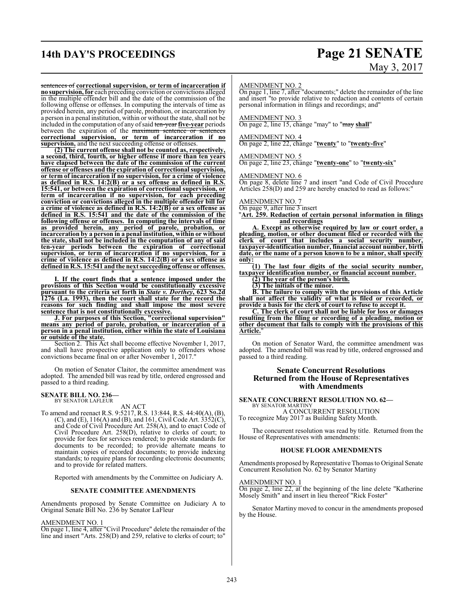# **14th DAY'S PROCEEDINGS Page 21 SENATE**

# May 3, 2017

### sentences of **correctional supervision, or term of incarceration if**

**no supervision, for** each preceding conviction or convictions alleged in the multiple offender bill and the date of the commission of the following offense or offenses. In computing the intervals of time as provided herein, any period of parole, probation, or incarceration by a person in a penal institution, within or without the state, shall not be included in the computation of any ofsaid ten-year **five-year** periods between the expiration of the maximum sentence or sentences **correctional supervision, or term of incarceration if no supervision,** and the next succeeding offense or offenses.

**(2) The current offense shall not be counted as, respectively, a second, third, fourth, or higher offense if more than ten years have elapsed between the date of the commission of the current offense or offenses and the expiration of correctional supervision, or term of incarceration if no supervision, for a crime of violence as defined in R.S. 14:2(B) or a sex offense as defined in R.S. 15:541, or between the expiration of correctional supervision, or term of incarceration if no supervision, for each preceding conviction or convictions alleged in the multiple offender bill for a crime of violence as defined in R.S. 14:2(B) or a sex offense as defined in R.S. 15:541 and the date of the commission of the following offense or offenses. In computing the intervals of time as provided herein, any period of parole, probation, or incarceration by a person in a penal institution, within or without the state, shall not be included in the computation of any of said ten-year periods between the expiration of correctional supervision, or term of incarceration if no supervision, for a crime of violence as defined in R.S. 14:2(B) or a sex offense as defined in R.S. 15:541 and the nextsucceeding offense or offenses.** \* \* \*

**I. If the court finds that a sentence imposed under the provisions of this Section would be constitutionally excessive pursuant to the criteria set forth in** *State v. Dorthey***, 623 So.2d 1276 (La. 1993), then the court shall state for the record the reasons for such finding and shall impose the most severe sentence that is not constitutionally excessive.**

**J. For purposes of this Section, "correctional supervision" means any period of parole, probation, or incarceration of a person in a penal institution, either within the state of Louisiana or outside of the state.**

Section 2. This Act shall become effective November 1, 2017, and shall have prospective application only to offenders whose convictions became final on or after November 1, 2017."

On motion of Senator Claitor, the committee amendment was adopted. The amended bill was read by title, ordered engrossed and passed to a third reading.

### **SENATE BILL NO. 236—** BY SENATOR LAFLEUR

AN ACT To amend and reenact R.S. 9:5217, R.S. 13:844, R.S. 44:40(A), (B), (C), and (E),  $116(A)$  and (B), and 161, Civil Code Art.  $3352(C)$ , and Code of Civil Procedure Art. 258(A), and to enact Code of Civil Procedure Art. 258(D), relative to clerks of court; to provide for fees for services rendered; to provide standards for documents to be recorded; to provide alternate means to maintain copies of recorded documents; to provide indexing standards; to require plans for recording electronic documents; and to provide for related matters.

Reported with amendments by the Committee on Judiciary A.

### **SENATE COMMITTEE AMENDMENTS**

Amendments proposed by Senate Committee on Judiciary A to Original Senate Bill No. 236 by Senator LaFleur

### AMENDMENT NO. 1

On page 1, line 4, after "Civil Procedure" delete the remainder of the line and insert "Arts. 258(D) and 259, relative to clerks of court; to"

### AMENDMENT NO. 2

On page 1, line 7, after "documents;" delete the remainder of the line and insert "to provide relative to redaction and contents of certain personal information in filings and recordings; and"

### AMENDMENT NO. 3

On page 2, line 15, change "may" to "may **shall**"

### AMENDMENT NO. 4

On page 2, line 22, change "**twenty**" to "**twenty-five**"

### AMENDMENT NO. 5

On page 2, line 23, change "**twenty-one**" to "**twenty-six**"

### AMENDMENT NO. 6

On page 8, delete line 7 and insert "and Code of Civil Procedure Articles 258(D) and 259 are hereby enacted to read as follows:"

#### AMENDMENT NO. 7

On page 9, after line 3 insert

"**Art. 259. Redaction of certain personal information in filings and recordings**

**A. Except as otherwise required by law or court order, a pleading, motion, or other document filed or recorded with the clerk of court that includes a social security number, taxpayer-identification number, financial account number, birth date, or the name of a person known to be a minor, shall specify only:**

**(1) The last four digits of the social security number, taxpayer identification number, or financial account number.**

**(2) The year of the person's birth.**

**(3) The initials of the minor.**

**B. The failure to comply with the provisions of this Article shall not affect the validity of what is filed or recorded, or provide a basis for the clerk of court to refuse to accept it.**

**C. The clerk of court shall not be liable for loss or damages resulting from the filing or recording of a pleading, motion or other document that fails to comply with the provisions of this Article.**"

On motion of Senator Ward, the committee amendment was adopted. The amended bill was read by title, ordered engrossed and passed to a third reading.

### **Senate Concurrent Resolutions Returned from the House of Representatives with Amendments**

### **SENATE CONCURRENT RESOLUTION NO. 62—**

BY SENATOR MARTINY A CONCURRENT RESOLUTION To recognize May 2017 as Building Safety Month.

The concurrent resolution was read by title. Returned from the House of Representatives with amendments:

### **HOUSE FLOOR AMENDMENTS**

Amendments proposed by Representative Thomas to Original Senate Concurrent Resolution No. 62 by Senator Martiny

### AMENDMENT NO. 1

On page 2, line 22, at the beginning of the line delete "Katherine Mosely Smith" and insert in lieu thereof "Rick Foster"

Senator Martiny moved to concur in the amendments proposed by the House.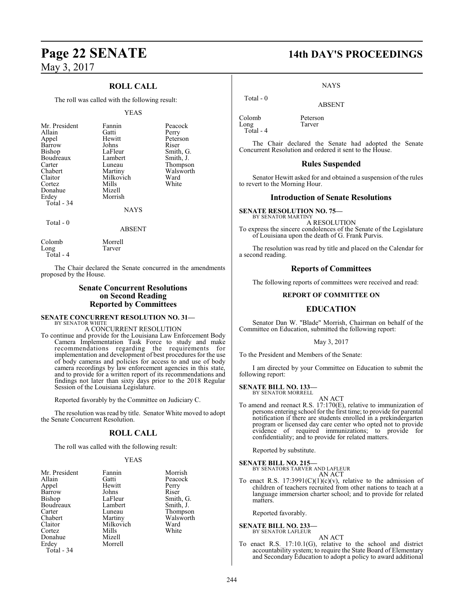### **ROLL CALL**

The roll was called with the following result:

### YEAS

| Mr. President<br>Allain<br>Appel<br>Barrow<br>Bishop<br>Boudreaux<br>Carter<br>Chabert<br>Claitor<br>Cortez<br>Donahue<br>Erdey<br>Total - 34 | Fannin<br>Gatti<br>Hewitt<br>Johns<br>LaFleur<br>Lambert<br>Luneau<br>Martiny<br>Milkovich<br>Mills<br>Mizell<br>Morrish<br><b>NAYS</b> | Peacock<br>Perry<br>Peterson<br>Riser<br>Smith, G.<br>Smith, J.<br>Thompson<br>Walsworth<br>Ward<br>White |
|-----------------------------------------------------------------------------------------------------------------------------------------------|-----------------------------------------------------------------------------------------------------------------------------------------|-----------------------------------------------------------------------------------------------------------|
| Total $-0$                                                                                                                                    | <b>ABSENT</b>                                                                                                                           |                                                                                                           |

| Colomb      | Morrell |
|-------------|---------|
| Long        | Tarver  |
| Total - $4$ |         |

The Chair declared the Senate concurred in the amendments proposed by the House.

### **Senate Concurrent Resolutions on Second Reading Reported by Committees**

### **SENATE CONCURRENT RESOLUTION NO. 31—** BY SENATOR WHITE

A CONCURRENT RESOLUTION

To continue and provide for the Louisiana Law Enforcement Body Camera Implementation Task Force to study and make recommendations regarding the requirements for implementation and development of best procedures for the use of body cameras and policies for access to and use of body camera recordings by law enforcement agencies in this state, and to provide for a written report of its recommendations and findings not later than sixty days prior to the 2018 Regular Session of the Louisiana Legislature.

Reported favorably by the Committee on Judiciary C.

The resolution was read by title. Senator White moved to adopt the Senate Concurrent Resolution.

### **ROLL CALL**

The roll was called with the following result:

### YEAS

| Mr. President | Fannin    | Morrish   |
|---------------|-----------|-----------|
| Allain        | Gatti     | Peacock   |
| Appel         | Hewitt    | Perry     |
| Barrow        | Johns     | Riser     |
| Bishop        | LaFleur   | Smith, G. |
| Boudreaux     | Lambert   | Smith, J. |
| Carter        | Luneau    | Thompson  |
| Chabert       | Martiny   | Walsworth |
| Claitor       | Milkovich | Ward      |
| Cortez        | Mills     | White     |
| Donahue       | Mizell    |           |
| Erdey         | Morrell   |           |
| Total - 34    |           |           |

# **Page 22 SENATE 14th DAY'S PROCEEDINGS**

### NAYS

ABSENT

Colomb Peterson<br>Long Tarver Long Total - 4

Total - 0

The Chair declared the Senate had adopted the Senate Concurrent Resolution and ordered it sent to the House.

### **Rules Suspended**

Senator Hewitt asked for and obtained a suspension of the rules to revert to the Morning Hour.

### **Introduction of Senate Resolutions**

**SENATE RESOLUTION NO. 75—** BY SENATOR MARTINY A RESOLUTION

To express the sincere condolences of the Senate of the Legislature of Louisiana upon the death of G. Frank Purvis.

The resolution was read by title and placed on the Calendar for a second reading.

### **Reports of Committees**

The following reports of committees were received and read:

### **REPORT OF COMMITTEE ON**

### **EDUCATION**

Senator Dan W. "Blade" Morrish, Chairman on behalf of the Committee on Education, submitted the following report:

### May 3, 2017

To the President and Members of the Senate:

I am directed by your Committee on Education to submit the following report:

### **SENATE BILL NO. 133—**

BY SENATOR MORRELL

AN ACT To amend and reenact R.S. 17:170(E), relative to immunization of persons entering school for the first time; to provide for parental notification if there are students enrolled in a prekindergarten program or licensed day care center who opted not to provide evidence of required immunizations; to provide for confidentiality; and to provide for related matters.

Reported by substitute.

**SENATE BILL NO. 215—** BY SENATORS TARVER AND LAFLEUR

AN ACT

To enact R.S.  $17:3991(C)(1)(c)(v)$ , relative to the admission of children of teachers recruited from other nations to teach at a language immersion charter school; and to provide for related matters.

Reported favorably.

### **SENATE BILL NO. 233** BY SENATOR LAFLEUR

AN ACT

To enact R.S. 17:10.1(G), relative to the school and district accountability system; to require the State Board of Elementary and Secondary Education to adopt a policy to award additional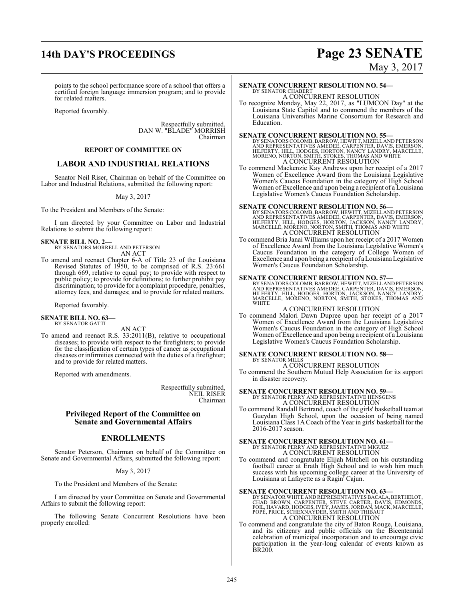## **14th DAY'S PROCEEDINGS Page 23 SENATE**

# May 3, 2017

points to the school performance score of a school that offers a certified foreign language immersion program; and to provide for related matters.

Reported favorably.

Respectfully submitted, DAN W. "BLADE" MORRISH Chairman

### **REPORT OF COMMITTEE ON**

### **LABOR AND INDUSTRIAL RELATIONS**

Senator Neil Riser, Chairman on behalf of the Committee on Labor and Industrial Relations, submitted the following report:

### May 3, 2017

To the President and Members of the Senate:

I am directed by your Committee on Labor and Industrial Relations to submit the following report:

### **SENATE BILL NO. 2—**

BY SENATORS MORRELL AND PETERSON AN ACT

To amend and reenact Chapter 6-A of Title 23 of the Louisiana Revised Statutes of 1950, to be comprised of R.S. 23:661 through 669, relative to equal pay; to provide with respect to public policy; to provide for definitions; to further prohibit pay discrimination; to provide for a complaint procedure, penalties, attorney fees, and damages; and to provide for related matters.

Reported favorably.

#### **SENATE BILL NO. 63—** BY SENATOR GATTI

AN ACT

To amend and reenact R.S. 33:2011(B), relative to occupational diseases; to provide with respect to the firefighters; to provide for the classification of certain types of cancer as occupational diseases or infirmities connected with the duties of a firefighter; and to provide for related matters.

Reported with amendments.

Respectfully submitted, NEIL RISER Chairman

### **Privileged Report of the Committee on Senate and Governmental Affairs**

### **ENROLLMENTS**

Senator Peterson, Chairman on behalf of the Committee on Senate and Governmental Affairs, submitted the following report:

### May 3, 2017

To the President and Members of the Senate:

I am directed by your Committee on Senate and Governmental Affairs to submit the following report:

The following Senate Concurrent Resolutions have been properly enrolled:

### **SENATE CONCURRENT RESOLUTION NO. 54—** BY SENATOR CHABERT A CONCURRENT RESOLUTION

To recognize Monday, May 22, 2017, as "LUMCON Day" at the Louisiana State Capitol and to commend the members of the Louisiana Universities Marine Consortium for Research and Education.

### **SENATE CONCURRENT RESOLUTION NO. 55—**

BY SENATORS COLOMB, BARROW, HEWITT, MIZELL AND PETERSON<br>AND REPRESENTATIVES AMEDEE, CARPENTER, DAVIS, EMERSON,<br>HILFERTY, HILL, HODGES, HORTON, NANCY LANDRY, MARCELLE,<br>MORENO, NORTON, SMITH, STOKES, THOMAS AND WHITE<br>A CONCU

To commend Mackenzie Kay Andrews upon her receipt of a 2017 Women of Excellence Award from the Louisiana Legislative Women's Caucus Foundation in the category of High School Women of Excellence and upon being a recipient of a Louisiana Legislative Women's Caucus Foundation Scholarship.

### **SENATE CONCURRENT RESOLUTION NO. 56—**

BY SENATORS COLOMB, BARROW, HEWITT, MIZELL AND PETERSON<br>AND REPRESENTATIVES AMEDEE, CARPENTER, DAVIS, EMERSON,<br>HILFERTY, HILL, HODGES, HORTON, JACKSON, NANCY LANDRY,<br>MARCELLE, MORENO, NORTON, SMITH, THOMAS AND WHITE<br>A CONC

To commend Bria Janai Williams upon her receipt of a 2017 Women of Excellence Award from the Louisiana Legislative Women's Caucus Foundation in the category of College Women of Excellence and upon being a recipient of a Louisiana Legislative Women's Caucus Foundation Scholarship.

### **SENATE CONCURRENT RESOLUTION NO. 57—**

BY SENATORS COLOMB, BARROW, HEWITT, MIZELL AND PETERSON<br>AND REPRESENTATIVES AMEDEE, CARPENTER, DAVIS, EMERSON,<br>HILFERTY, HILL, HOOGES, HORTON, JACKSON, NANCY LANDRY,<br>MARCELLE, MORENO, NORTON, SMITH, STOKES, THOMAS AND **WHITE** 

### A CONCURRENT RESOLUTION

To commend Malori Dawn Dupree upon her receipt of a 2017 Women of Excellence Award from the Louisiana Legislative Women's Caucus Foundation in the category of High School Women of Excellence and upon being a recipient of a Louisiana Legislative Women's Caucus Foundation Scholarship.

#### **SENATE CONCURRENT RESOLUTION NO. 58—** BY SENATOR MILLS

A CONCURRENT RESOLUTION

To commend the Southern Mutual Help Association for its support in disaster recovery.

**SENATE CONCURRENT RESOLUTION NO. 59—**<br>BY SENATOR PERRY AND REPRESENTATIVE HENSGENS<br>A CONCURRENT RESOLUTION

To commend Randall Bertrand, coach of the girls' basketball team at Gueydan High School, upon the occasion of being named Louisiana Class 1A Coach of the Year in girls' basketball for the 2016-2017 season.

### **SENATE CONCURRENT RESOLUTION NO. 61—** BY SENATOR PERRY AND REPRESENTATIVE MIGUEZ A CONCURRENT RESOLUTION

To commend and congratulate Elijah Mitchell on his outstanding football career at Erath High School and to wish him much success with his upcoming college career at the University of Louisiana at Lafayette as a Ragin' Cajun.

### **SENATE CONCURRENT RESOLUTION NO. 63—**

BY SENATOR WHITE AND REPRESENTATIVES BACALA, BERTHELOT,<br>CHAD BROWN, CARPENTER, STEVE CARTER, DAVIS, EDMONDS,<br>FOIL, HAVARD, HODGES, IVEY, JAMES, JORDAN, MACK, MARCELLE,<br>POPE, PRICE, SCHEXNAYDER, SMITH AND THIBAUT A CONCURRENT RESOLUTION

To commend and congratulate the city of Baton Rouge, Louisiana, and its citizenry and public officials on the Bicentennial celebration of municipal incorporation and to encourage civic participation in the year-long calendar of events known as BR200.